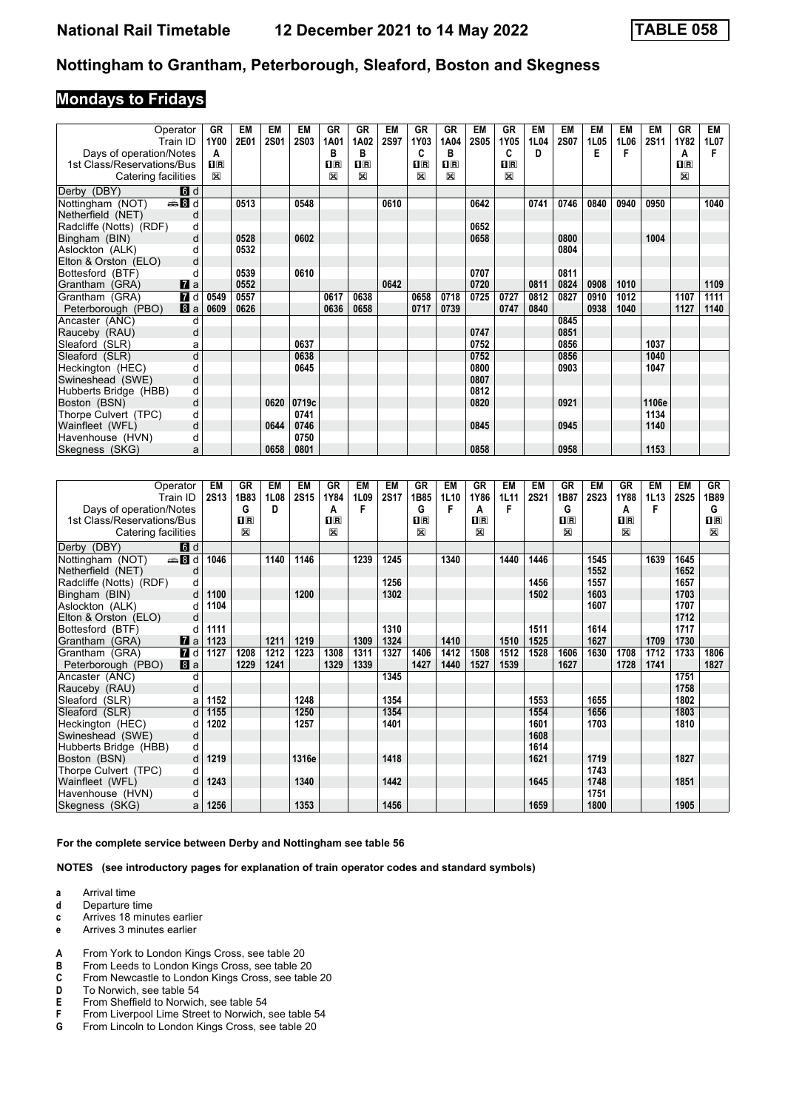## **Mondays to Fridays**

| Operator                         | GR          | EM   | <b>EM</b>   | <b>EM</b>   | <b>GR</b>    | <b>GR</b>   | <b>EM</b>   | <b>GR</b> | GR           | EM          | GR          | EM   | <b>EM</b>   | EM   | <b>EM</b> | EM          | <b>GR</b>               | <b>EM</b> |
|----------------------------------|-------------|------|-------------|-------------|--------------|-------------|-------------|-----------|--------------|-------------|-------------|------|-------------|------|-----------|-------------|-------------------------|-----------|
| Train ID                         | 1Y00        | 2E01 | <b>2S01</b> | <b>2S03</b> | 1A01         | 1A02        | <b>2S97</b> | 1Y03      | 1A04         | <b>2S05</b> | 1Y05        | 1L04 | <b>2S07</b> | 1L05 | 1L06      | <b>2S11</b> | 1Y82                    | 1L07      |
| Days of operation/Notes          | A           |      |             |             | B            | в           |             | C         | в            |             | C           | D    |             | E    | F         |             | A                       |           |
| 1st Class/Reservations/Bus       | $n_{\rm R}$ |      |             |             | $n_{\rm R}$  | $n_{\rm R}$ |             | $\Pi$ R   | $\Pi$ R      |             | $n_{\rm R}$ |      |             |      |           |             | $\overline{\mathbf{B}}$ |           |
| Catering facilities              | X           |      |             |             | $\mathbb{X}$ | X           |             | X         | $\mathbb{X}$ |             | X           |      |             |      |           |             | X                       |           |
| <b>6</b> d<br>Derby (DBY)        |             |      |             |             |              |             |             |           |              |             |             |      |             |      |           |             |                         |           |
| de Bid<br>Nottingham (NOT)       |             | 0513 |             | 0548        |              |             | 0610        |           |              | 0642        |             | 0741 | 0746        | 0840 | 0940      | 0950        |                         | 1040      |
| Netherfield (NET)<br>d           |             |      |             |             |              |             |             |           |              |             |             |      |             |      |           |             |                         |           |
| Radcliffe (Notts) (RDF)<br>d     |             |      |             |             |              |             |             |           |              | 0652        |             |      |             |      |           |             |                         |           |
| Bingham (BIN)<br>d               |             | 0528 |             | 0602        |              |             |             |           |              | 0658        |             |      | 0800        |      |           | 1004        |                         |           |
| Aslockton (ALK)                  |             | 0532 |             |             |              |             |             |           |              |             |             |      | 0804        |      |           |             |                         |           |
| Elton & Orston (ELO)<br>d        |             |      |             |             |              |             |             |           |              |             |             |      |             |      |           |             |                         |           |
| Bottesford (BTF)<br>d            |             | 0539 |             | 0610        |              |             |             |           |              | 0707        |             |      | 0811        |      |           |             |                         |           |
| $\mathbf{z}$ a<br>Grantham (GRA) |             | 0552 |             |             |              |             | 0642        |           |              | 0720        |             | 0811 | 0824        | 0908 | 1010      |             |                         | 1109      |
| $\blacksquare$<br>Grantham (GRA) | 0549        | 0557 |             |             | 0617         | 0638        |             | 0658      | 0718         | 0725        | 0727        | 0812 | 0827        | 0910 | 1012      |             | 1107                    | 1111      |
| 8a<br>Peterborough (PBO)         | 0609        | 0626 |             |             | 0636         | 0658        |             | 0717      | 0739         |             | 0747        | 0840 |             | 0938 | 1040      |             | 1127                    | 1140      |
| Ancaster (ANC)<br>d              |             |      |             |             |              |             |             |           |              |             |             |      | 0845        |      |           |             |                         |           |
| Rauceby (RAU)<br>d               |             |      |             |             |              |             |             |           |              | 0747        |             |      | 0851        |      |           |             |                         |           |
| Sleaford (SLR)<br>a              |             |      |             | 0637        |              |             |             |           |              | 0752        |             |      | 0856        |      |           | 1037        |                         |           |
| d<br>Sleaford (SLR)              |             |      |             | 0638        |              |             |             |           |              | 0752        |             |      | 0856        |      |           | 1040        |                         |           |
| Heckington (HEC)<br>d            |             |      |             | 0645        |              |             |             |           |              | 0800        |             |      | 0903        |      |           | 1047        |                         |           |
| d<br>Swineshead (SWE)            |             |      |             |             |              |             |             |           |              | 0807        |             |      |             |      |           |             |                         |           |
| Hubberts Bridge (HBB)<br>d       |             |      |             |             |              |             |             |           |              | 0812        |             |      |             |      |           |             |                         |           |
| Boston (BSN)<br>d                |             |      | 0620        | 0719c       |              |             |             |           |              | 0820        |             |      | 0921        |      |           | 1106e       |                         |           |
| Thorpe Culvert (TPC)<br>d        |             |      |             | 0741        |              |             |             |           |              |             |             |      |             |      |           | 1134        |                         |           |
| Wainfleet (WFL)<br>d             |             |      | 0644        | 0746        |              |             |             |           |              | 0845        |             |      | 0945        |      |           | 1140        |                         |           |
| Havenhouse (HVN)<br>d            |             |      |             | 0750        |              |             |             |           |              |             |             |      |             |      |           |             |                         |           |
| Skegness (SKG)<br>a              |             |      | 0658        | 0801        |              |             |             |           |              | 0858        |             |      | 0958        |      |           | 1153        |                         |           |

| Operator                         | EM          | <b>GR</b>   | EM   | <b>EM</b> | GR      | EM   | EM          | <b>GR</b>   | EM   | GR      | EM   | EM          | GR                      | EM          | GR      | EM   | EM          | <b>GR</b>    |
|----------------------------------|-------------|-------------|------|-----------|---------|------|-------------|-------------|------|---------|------|-------------|-------------------------|-------------|---------|------|-------------|--------------|
| Train ID                         | <b>2S13</b> | 1B83        | 1L08 | 2S15      | 1Y84    | 1L09 | <b>2S17</b> | 1B85        | 1L10 | 1Y86    | 1L11 | <b>2S21</b> | 1B87                    | <b>2S23</b> | 1Y88    | 1L13 | <b>2S25</b> | 1B89         |
| Days of operation/Notes          |             | G           | D    |           | A       | F    |             | G           | F    | А       | F    |             | G                       |             | A       | F    |             | G            |
| 1st Class/Reservations/Bus       |             | $n_{\rm R}$ |      |           | $\Pi$ R |      |             | $n_{\rm R}$ |      | $\Pi$ R |      |             | $\overline{\mathbf{H}}$ |             | $\Pi$ R |      |             | $\Pi$ R      |
| Catering facilities              |             | X           |      |           | X       |      |             | X           |      | X       |      |             | $\mathbb{R}$            |             | X       |      |             | $\mathbb{X}$ |
| <b>d</b> d<br>Derby (DBY)        |             |             |      |           |         |      |             |             |      |         |      |             |                         |             |         |      |             |              |
| $\oplus$ 8 d<br>Nottingham (NOT) | 1046        |             | 1140 | 1146      |         | 1239 | 1245        |             | 1340 |         | 1440 | 1446        |                         | 1545        |         | 1639 | 1645        |              |
| Netherfield (NET)<br>d           |             |             |      |           |         |      |             |             |      |         |      |             |                         | 1552        |         |      | 1652        |              |
| Radcliffe (Notts) (RDF)<br>d     |             |             |      |           |         |      | 1256        |             |      |         |      | 1456        |                         | 1557        |         |      | 1657        |              |
| d<br>Bingham (BIN)               | 1100        |             |      | 1200      |         |      | 1302        |             |      |         |      | 1502        |                         | 1603        |         |      | 1703        |              |
| Aslockton (ALK)<br>d             | 1104        |             |      |           |         |      |             |             |      |         |      |             |                         | 1607        |         |      | 1707        |              |
| Elton & Orston (ELO)<br>d        |             |             |      |           |         |      |             |             |      |         |      |             |                         |             |         |      | 1712        |              |
| Bottesford (BTF)<br>d            | 1111        |             |      |           |         |      | 1310        |             |      |         |      | 1511        |                         | 1614        |         |      | 1717        |              |
| Grantham (GRA)<br>$\mathbf{z}$ a | 1123        |             | 1211 | 1219      |         | 1309 | 1324        |             | 1410 |         | 1510 | 1525        |                         | 1627        |         | 1709 | 1730        |              |
| <b>7</b> d<br>Grantham (GRA)     | 1127        | 1208        | 1212 | 1223      | 1308    | 1311 | 1327        | 1406        | 1412 | 1508    | 1512 | 1528        | 1606                    | 1630        | 1708    | 1712 | 1733        | 1806         |
| 8 a<br>Peterborough (PBO)        |             | 1229        | 1241 |           | 1329    | 1339 |             | 1427        | 1440 | 1527    | 1539 |             | 1627                    |             | 1728    | 1741 |             | 1827         |
| Ancaster (ANC)<br>d              |             |             |      |           |         |      | 1345        |             |      |         |      |             |                         |             |         |      | 1751        |              |
| d<br>Rauceby (RAU)               |             |             |      |           |         |      |             |             |      |         |      |             |                         |             |         |      | 1758        |              |
| Sleaford (SLR)<br>a              | 1152        |             |      | 1248      |         |      | 1354        |             |      |         |      | 1553        |                         | 1655        |         |      | 1802        |              |
| d<br>Sleaford (SLR)              | 1155        |             |      | 1250      |         |      | 1354        |             |      |         |      | 1554        |                         | 1656        |         |      | 1803        |              |
| Heckington (HEC)<br>d            | 1202        |             |      | 1257      |         |      | 1401        |             |      |         |      | 1601        |                         | 1703        |         |      | 1810        |              |
| Swineshead (SWE)<br>d            |             |             |      |           |         |      |             |             |      |         |      | 1608        |                         |             |         |      |             |              |
| Hubberts Bridge (HBB)<br>d       |             |             |      |           |         |      |             |             |      |         |      | 1614        |                         |             |         |      |             |              |
| d<br>Boston (BSN)                | 1219        |             |      | 1316e     |         |      | 1418        |             |      |         |      | 1621        |                         | 1719        |         |      | 1827        |              |
| Thorpe Culvert (TPC)<br>d        |             |             |      |           |         |      |             |             |      |         |      |             |                         | 1743        |         |      |             |              |
| Wainfleet (WFL)<br>d             | 1243        |             |      | 1340      |         |      | 1442        |             |      |         |      | 1645        |                         | 1748        |         |      | 1851        |              |
| Havenhouse (HVN)<br>d            |             |             |      |           |         |      |             |             |      |         |      |             |                         | 1751        |         |      |             |              |
| Skegness (SKG)<br>a              | 1256        |             |      | 1353      |         |      | 1456        |             |      |         |      | 1659        |                         | 1800        |         |      | 1905        |              |

**For the complete service between Derby and Nottingham see table** 

**NOTES (see introductory pages for explanation of train operator codes and standard symbols)**

- **a** Arrival time
- **d** Departure time<br>**c** Arrives 18 minu
- **Arrives 18 minutes earlier**
- **e** Arrives 3 minutes earlier
- **A** From York to London Kings Cross, see table 20<br>**B** From Leeds to London Kings Cross, see table 20
- **B** From Leeds to London Kings Cross, see table 20<br>**C** From Newcastle to London Kings Cross, see table
- **C** From Newcastle to London Kings Cross, see table 20<br>**D** To Norwich. see table 54
- **D** To Norwich, see table 54<br>**E** From Sheffield to Norwich
- **E** From Sheffield to Norwich, see table 54<br>**F** From Liverpool Lime Street to Norwich,
- **F** From Liverpool Lime Street to Norwich, see table 54<br>**G** From Lincoln to London Kings Cross, see table 20
- From Lincoln to London Kings Cross, see table 20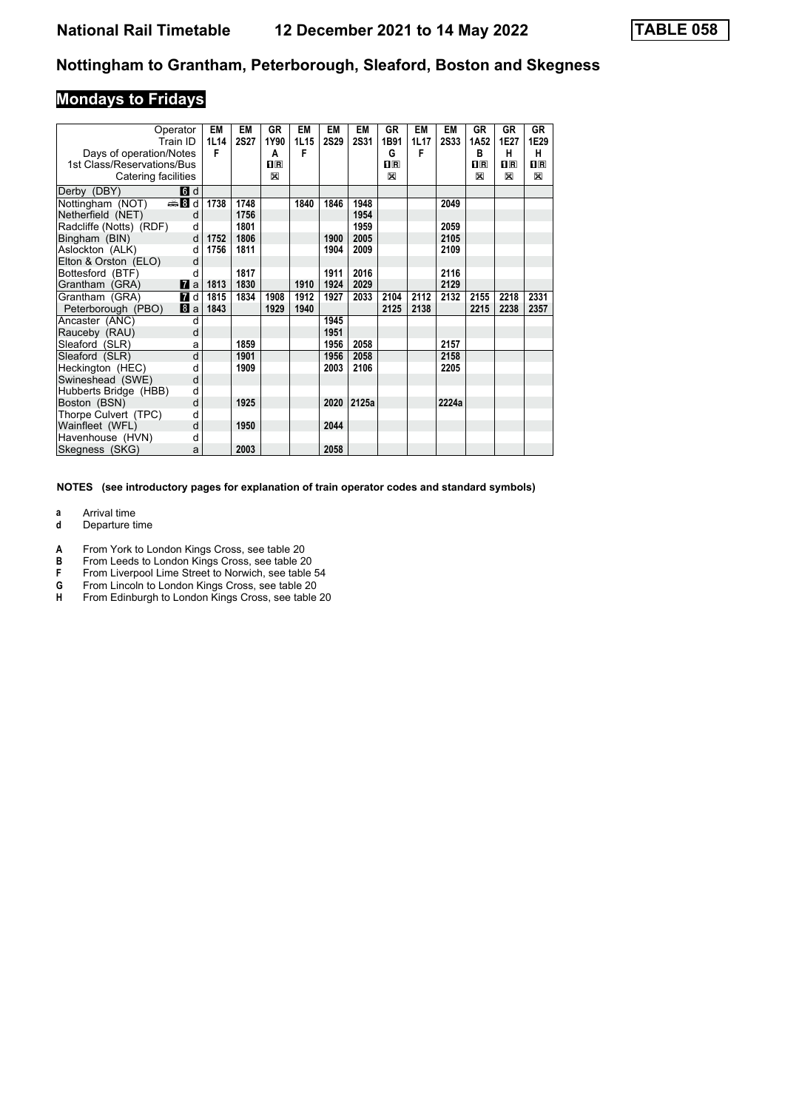# **Mondays to Fridays**

|                            | Operator<br>Train ID | <b>EM</b><br>1L14 | EM<br><b>2S27</b> | <b>GR</b><br>1Y90 | EM<br>1L15 | <b>EM</b><br><b>2S29</b> | <b>EM</b><br><b>2S31</b> | GR<br>1B91   | <b>EM</b><br>1L17 | <b>EM</b><br><b>2S33</b> | <b>GR</b><br>1A <sub>52</sub> | <b>GR</b><br>1E27 | GR<br>1E29 |
|----------------------------|----------------------|-------------------|-------------------|-------------------|------------|--------------------------|--------------------------|--------------|-------------------|--------------------------|-------------------------------|-------------------|------------|
| Days of operation/Notes    |                      | F                 |                   | A                 | F          |                          |                          | G            | F                 |                          | B                             | н                 | н          |
| 1st Class/Reservations/Bus |                      |                   |                   | $n_{\rm R}$       |            |                          |                          | $n_{\rm{R}}$ |                   |                          | $n_{\rm R}$                   | $\Pi$ R           | 0 R        |
| Catering facilities        |                      |                   |                   | X                 |            |                          |                          | $\boxtimes$  |                   |                          | X                             | X                 | X          |
| Derby (DBY)                | 6 d                  |                   |                   |                   |            |                          |                          |              |                   |                          |                               |                   |            |
| Nottingham (NOT)           | dan Bid              | 1738              | 1748              |                   | 1840       | 1846                     | 1948                     |              |                   | 2049                     |                               |                   |            |
| Netherfield (NET)          | d                    |                   | 1756              |                   |            |                          | 1954                     |              |                   |                          |                               |                   |            |
| Radcliffe (Notts) (RDF)    | d                    |                   | 1801              |                   |            |                          | 1959                     |              |                   | 2059                     |                               |                   |            |
| Bingham (BIN)              | d                    | 1752              | 1806              |                   |            | 1900                     | 2005                     |              |                   | 2105                     |                               |                   |            |
| Aslockton (ALK)            | d                    | 1756              | 1811              |                   |            | 1904                     | 2009                     |              |                   | 2109                     |                               |                   |            |
| Elton & Orston (ELO)       | d                    |                   |                   |                   |            |                          |                          |              |                   |                          |                               |                   |            |
| Bottesford (BTF)           | d                    |                   | 1817              |                   |            | 1911                     | 2016                     |              |                   | 2116                     |                               |                   |            |
| Grantham (GRA)             | $\mathbf{z}$ a       | 1813              | 1830              |                   | 1910       | 1924                     | 2029                     |              |                   | 2129                     |                               |                   |            |
| Grantham (GRA)             | 7 d                  | 1815              | 1834              | 1908              | 1912       | 1927                     | 2033                     | 2104         | 2112              | 2132                     | 2155                          | 2218              | 2331       |
| Peterborough (PBO)         | 8a                   | 1843              |                   | 1929              | 1940       |                          |                          | 2125         | 2138              |                          | 2215                          | 2238              | 2357       |
| Ancaster (ANC)             | d                    |                   |                   |                   |            | 1945                     |                          |              |                   |                          |                               |                   |            |
| Rauceby (RAU)              | d                    |                   |                   |                   |            | 1951                     |                          |              |                   |                          |                               |                   |            |
| Sleaford (SLR)             | a                    |                   | 1859              |                   |            | 1956                     | 2058                     |              |                   | 2157                     |                               |                   |            |
| Sleaford (SLR)             | d                    |                   | 1901              |                   |            | 1956                     | 2058                     |              |                   | 2158                     |                               |                   |            |
| Heckington (HEC)           | d                    |                   | 1909              |                   |            | 2003                     | 2106                     |              |                   | 2205                     |                               |                   |            |
| Swineshead (SWE)           | d                    |                   |                   |                   |            |                          |                          |              |                   |                          |                               |                   |            |
| Hubberts Bridge (HBB)      | d                    |                   |                   |                   |            |                          |                          |              |                   |                          |                               |                   |            |
| Boston (BSN)               | d                    |                   | 1925              |                   |            |                          | 2020 2125a               |              |                   | 2224a                    |                               |                   |            |
| Thorpe Culvert (TPC)       | d                    |                   |                   |                   |            |                          |                          |              |                   |                          |                               |                   |            |
| Wainfleet (WFL)            | d                    |                   | 1950              |                   |            | 2044                     |                          |              |                   |                          |                               |                   |            |
| Havenhouse (HVN)           | d                    |                   |                   |                   |            |                          |                          |              |                   |                          |                               |                   |            |
| Skegness (SKG)             | a                    |                   | 2003              |                   |            | 2058                     |                          |              |                   |                          |                               |                   |            |

**NOTES (see introductory pages for explanation of train operator codes and standard symbols)**

**a** Arrival time<br>**d** Departure t

**d** Departure time

**A** From York to London Kings Cross, see table 20

- **B** From Leeds to London Kings Cross, see table 20<br>**F** From Liverpool Lime Street to Norwich, see table
- **F** From Liverpool Lime Street to Norwich, see table 54<br>**G** From Lincoln to London Kings Cross, see table 20
- **G** From Lincoln to London Kings Cross, see table 20
- **H** From Edinburgh to London Kings Cross, see table 20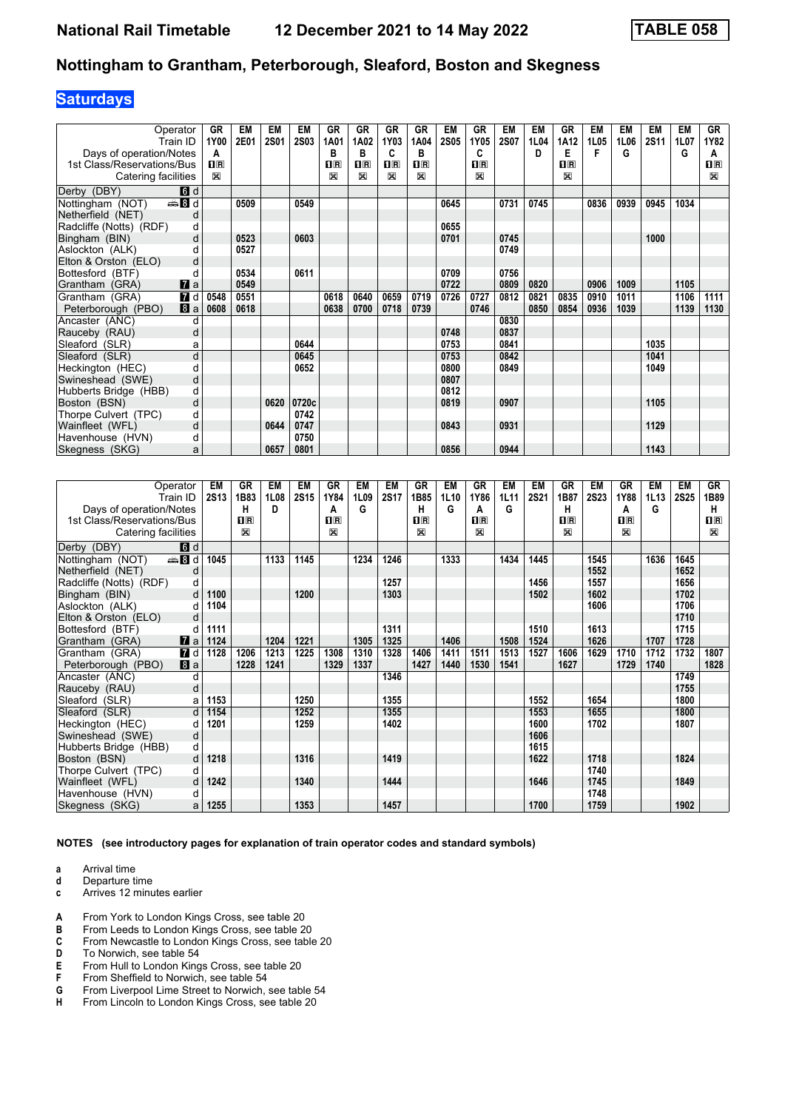# **Saturdays**

| Operator                         | GR          | EM   | EM          | EM          | GR                                              | GR          | GR               | GR             | EM          | GR                      | EM          | EM   | GR           | <b>EM</b> | EM   | EM          | EM   | GR           |
|----------------------------------|-------------|------|-------------|-------------|-------------------------------------------------|-------------|------------------|----------------|-------------|-------------------------|-------------|------|--------------|-----------|------|-------------|------|--------------|
| Train ID                         | 1Y00        | 2E01 | <b>2S01</b> | <b>2S03</b> | 1A01                                            | 1A02        | 1Y03             | 1A04           | <b>2S05</b> | 1Y05                    | <b>2S07</b> | 1L04 | 1A12         | 1L05      | 1L06 | <b>2S11</b> | 1L07 | 1Y82         |
| Days of operation/Notes          | A           |      |             |             | B                                               | в           | C                | в              |             | C                       |             | D    | Е            | F         | G    |             | G    | A            |
| 1st Class/Reservations/Bus       | $n_{\rm R}$ |      |             |             | $\overline{\mathbf{H}}$ $\overline{\mathbf{R}}$ | $n_{\rm R}$ | $n_{\mathbb{R}}$ | $\mathbf{H}$ R |             | $\overline{\mathbf{H}}$ |             |      | $\mathbf{H}$ |           |      |             |      | $\mathbf{H}$ |
| Catering facilities              | X           |      |             |             | X                                               | X           | X                | X              |             | X                       |             |      | $\mathbb{X}$ |           |      |             |      | $\mathbb{X}$ |
| 6 <sup>d</sup><br>Derby (DBY)    |             |      |             |             |                                                 |             |                  |                |             |                         |             |      |              |           |      |             |      |              |
| Nottingham (NOT)<br><b>●Bd</b>   |             | 0509 |             | 0549        |                                                 |             |                  |                | 0645        |                         | 0731        | 0745 |              | 0836      | 0939 | 0945        | 1034 |              |
| Netherfield (NET)<br>d           |             |      |             |             |                                                 |             |                  |                |             |                         |             |      |              |           |      |             |      |              |
| Radcliffe (Notts) (RDF)<br>d     |             |      |             |             |                                                 |             |                  |                | 0655        |                         |             |      |              |           |      |             |      |              |
| Bingham (BIN)<br>d               |             | 0523 |             | 0603        |                                                 |             |                  |                | 0701        |                         | 0745        |      |              |           |      | 1000        |      |              |
| Aslockton (ALK)                  |             | 0527 |             |             |                                                 |             |                  |                |             |                         | 0749        |      |              |           |      |             |      |              |
| Elton & Orston (ELO)<br>d        |             |      |             |             |                                                 |             |                  |                |             |                         |             |      |              |           |      |             |      |              |
| Bottesford (BTF)<br>d            |             | 0534 |             | 0611        |                                                 |             |                  |                | 0709        |                         | 0756        |      |              |           |      |             |      |              |
| $\mathbf{z}$ a<br>Grantham (GRA) |             | 0549 |             |             |                                                 |             |                  |                | 0722        |                         | 0809        | 0820 |              | 0906      | 1009 |             | 1105 |              |
| $I$ d<br>Grantham (GRA)          | 0548        | 0551 |             |             | 0618                                            | 0640        | 0659             | 0719           | 0726        | 0727                    | 0812        | 0821 | 0835         | 0910      | 1011 |             | 1106 | 1111         |
| a<br>Peterborough (PBO)          | 0608        | 0618 |             |             | 0638                                            | 0700        | 0718             | 0739           |             | 0746                    |             | 0850 | 0854         | 0936      | 1039 |             | 1139 | 1130         |
| Ancaster (ANC)<br>d              |             |      |             |             |                                                 |             |                  |                |             |                         | 0830        |      |              |           |      |             |      |              |
| Rauceby (RAU)<br>d               |             |      |             |             |                                                 |             |                  |                | 0748        |                         | 0837        |      |              |           |      |             |      |              |
| Sleaford (SLR)<br>a              |             |      |             | 0644        |                                                 |             |                  |                | 0753        |                         | 0841        |      |              |           |      | 1035        |      |              |
| Sleaford (SLR)<br>d              |             |      |             | 0645        |                                                 |             |                  |                | 0753        |                         | 0842        |      |              |           |      | 1041        |      |              |
| Heckington (HEC)<br>d            |             |      |             | 0652        |                                                 |             |                  |                | 0800        |                         | 0849        |      |              |           |      | 1049        |      |              |
| d<br>Swineshead (SWE)            |             |      |             |             |                                                 |             |                  |                | 0807        |                         |             |      |              |           |      |             |      |              |
| Hubberts Bridge (HBB)<br>d       |             |      |             |             |                                                 |             |                  |                | 0812        |                         |             |      |              |           |      |             |      |              |
| Boston (BSN)<br>d                |             |      | 0620        | 0720c       |                                                 |             |                  |                | 0819        |                         | 0907        |      |              |           |      | 1105        |      |              |
| Thorpe Culvert (TPC)<br>d        |             |      |             | 0742        |                                                 |             |                  |                |             |                         |             |      |              |           |      |             |      |              |
| Wainfleet (WFL)<br>d             |             |      | 0644        | 0747        |                                                 |             |                  |                | 0843        |                         | 0931        |      |              |           |      | 1129        |      |              |
| Havenhouse (HVN)<br>d            |             |      |             | 0750        |                                                 |             |                  |                |             |                         |             |      |              |           |      |             |      |              |
| Skegness (SKG)<br>a              |             |      | 0657        | 0801        |                                                 |             |                  |                | 0856        |                         | 0944        |      |              |           |      | 1143        |      |              |

| Operator                          | EM          | GR      | EM   | <b>EM</b> | GR           | EM   | <b>EM</b>   | <b>GR</b>               | <b>EM</b> | <b>GR</b>      | <b>EM</b> | EM          | <b>GR</b>    | EM          | GR      | EM   | EM   | GR      |
|-----------------------------------|-------------|---------|------|-----------|--------------|------|-------------|-------------------------|-----------|----------------|-----------|-------------|--------------|-------------|---------|------|------|---------|
| Train ID                          | <b>2S13</b> | 1B83    | 1L08 | 2S15      | 1Y84         | 1L09 | <b>2S17</b> | 1B85                    | 1L10      | 1Y86           | 1L11      | <b>2S21</b> | 1B87         | <b>2S23</b> | 1Y88    | 1L13 | 2S25 | 1B89    |
| Days of operation/Notes           |             | н       | D    |           | А            | G    |             | Н                       | G         | A              | G         |             | н            |             | A       | G    |      | н       |
| 1st Class/Reservations/Bus        |             | $\Pi$ R |      |           | $\Pi$ R      |      |             | $\overline{\mathbf{H}}$ |           | $\mathbf{H}$ R |           |             | $\Pi$ R      |             | $\Pi$ R |      |      | $\Pi$ R |
| Catering facilities               |             | X       |      |           | $\mathbb{X}$ |      |             | X                       |           | ⊠              |           |             | $\mathbb{X}$ |             | X       |      |      | X       |
| d<br>Derby (DBY)                  |             |         |      |           |              |      |             |                         |           |                |           |             |              |             |         |      |      |         |
| <b>et B</b> d<br>Nottingham (NOT) | 1045        |         | 1133 | 1145      |              | 1234 | 1246        |                         | 1333      |                | 1434      | 1445        |              | 1545        |         | 1636 | 1645 |         |
| Netherfield (NET)<br>d            |             |         |      |           |              |      |             |                         |           |                |           |             |              | 1552        |         |      | 1652 |         |
| Radcliffe (Notts) (RDF)<br>d      |             |         |      |           |              |      | 1257        |                         |           |                |           | 1456        |              | 1557        |         |      | 1656 |         |
| d<br>Bingham (BIN)                | 1100        |         |      | 1200      |              |      | 1303        |                         |           |                |           | 1502        |              | 1602        |         |      | 1702 |         |
| Aslockton (ALK)<br>d              | 1104        |         |      |           |              |      |             |                         |           |                |           |             |              | 1606        |         |      | 1706 |         |
| Elton & Orston (ELO)<br>d         |             |         |      |           |              |      |             |                         |           |                |           |             |              |             |         |      | 1710 |         |
| Bottesford (BTF)<br>d             | 1111        |         |      |           |              |      | 1311        |                         |           |                |           | 1510        |              | 1613        |         |      | 1715 |         |
| $\mathbf{z}$ a<br>Grantham (GRA)  | 1124        |         | 1204 | 1221      |              | 1305 | 1325        |                         | 1406      |                | 1508      | 1524        |              | 1626        |         | 1707 | 1728 |         |
| <b>7</b> d<br>Grantham (GRA)      | 1128        | 1206    | 1213 | 1225      | 1308         | 1310 | 1328        | 1406                    | 1411      | 1511           | 1513      | 1527        | 1606         | 1629        | 1710    | 1712 | 1732 | 1807    |
| 8a<br>Peterborough (PBO)          |             | 1228    | 1241 |           | 1329         | 1337 |             | 1427                    | 1440      | 1530           | 1541      |             | 1627         |             | 1729    | 1740 |      | 1828    |
| Ancaster (ANC)<br>d               |             |         |      |           |              |      | 1346        |                         |           |                |           |             |              |             |         |      | 1749 |         |
| Rauceby (RAU)<br>d                |             |         |      |           |              |      |             |                         |           |                |           |             |              |             |         |      | 1755 |         |
| Sleaford (SLR)<br>a               | 1153        |         |      | 1250      |              |      | 1355        |                         |           |                |           | 1552        |              | 1654        |         |      | 1800 |         |
| Sleaford (SLR)<br>d               | 1154        |         |      | 1252      |              |      | 1355        |                         |           |                |           | 1553        |              | 1655        |         |      | 1800 |         |
| Heckington (HEC)<br>d             | 1201        |         |      | 1259      |              |      | 1402        |                         |           |                |           | 1600        |              | 1702        |         |      | 1807 |         |
| Swineshead (SWE)<br>d             |             |         |      |           |              |      |             |                         |           |                |           | 1606        |              |             |         |      |      |         |
| Hubberts Bridge (HBB)<br>d        |             |         |      |           |              |      |             |                         |           |                |           | 1615        |              |             |         |      |      |         |
| d<br>Boston (BSN)                 | 1218        |         |      | 1316      |              |      | 1419        |                         |           |                |           | 1622        |              | 1718        |         |      | 1824 |         |
| Thorpe Culvert (TPC)<br>d         |             |         |      |           |              |      |             |                         |           |                |           |             |              | 1740        |         |      |      |         |
| Wainfleet (WFL)<br>d              | 1242        |         |      | 1340      |              |      | 1444        |                         |           |                |           | 1646        |              | 1745        |         |      | 1849 |         |
| Havenhouse (HVN)<br>d             |             |         |      |           |              |      |             |                         |           |                |           |             |              | 1748        |         |      |      |         |
| Skegness (SKG)<br>a               | 1255        |         |      | 1353      |              |      | 1457        |                         |           |                |           | 1700        |              | 1759        |         |      | 1902 |         |

**NOTES (see introductory pages for explanation of train operator codes and standard symbols)**

- **a** Arrival time<br>**d** Departure t
- **d** Departure time
- **c** Arrives 12 minutes earlier
- **A** From York to London Kings Cross, see table 20<br>**B** From Leeds to London Kings Cross, see table 2
- **B** From Leeds to London Kings Cross, see table 20<br>**C** From Newcastle to London Kings Cross, see table
- From Newcastle to London Kings Cross, see table 20
- 
- **D** To Norwich, see table 54<br>**E** From Hull to London King **E** From Hull to London Kings Cross, see table 20<br>**F** From Sheffield to Norwich, see table 54
- **F** From Sheffield to Norwich, see table 54<br>**G** From Liverpool Lime Street to Norwich.
- **6** From Liverpool Lime Street to Norwich, see table 54<br>**H** From Lincoln to London Kings Cross, see table 20
- From Lincoln to London Kings Cross, see table 20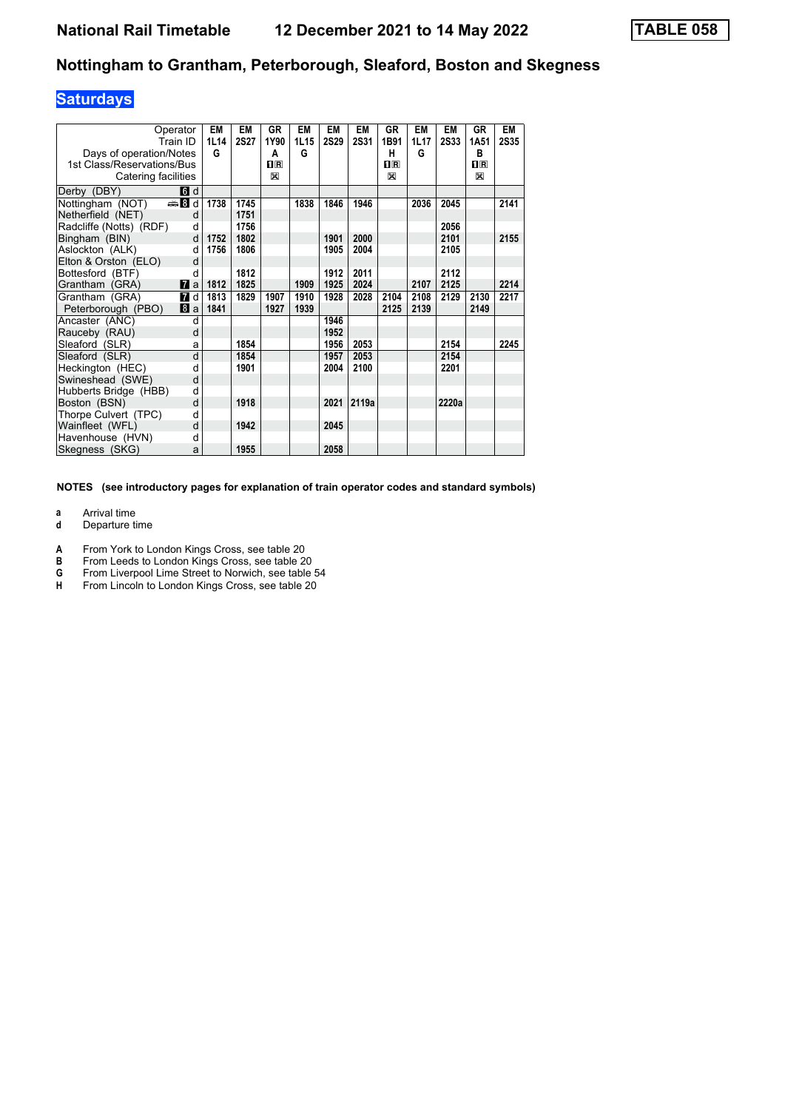# **Saturdays**

| Operator<br>Train ID             | EM<br>1L14 | EM<br><b>2S27</b> | <b>GR</b><br>1Y90 | EM<br>1L15 | EM<br><b>2S29</b> | EM<br><b>2S31</b> | GR<br>1B91              | <b>EM</b><br>1L17 | EM<br><b>2S33</b> | GR<br>1A51  | <b>EM</b><br><b>2S35</b> |
|----------------------------------|------------|-------------------|-------------------|------------|-------------------|-------------------|-------------------------|-------------------|-------------------|-------------|--------------------------|
| Days of operation/Notes          | G          |                   | A                 | G          |                   |                   | н                       | G                 |                   | в           |                          |
| 1st Class/Reservations/Bus       |            |                   | $n_{\mathsf{R}}$  |            |                   |                   | $\overline{\mathbf{R}}$ |                   |                   | $n_{\rm R}$ |                          |
| Catering facilities              |            |                   | X                 |            |                   |                   | X                       |                   |                   | X           |                          |
|                                  |            |                   |                   |            |                   |                   |                         |                   |                   |             |                          |
| Derby (DBY)<br>6d                |            |                   |                   |            |                   |                   |                         |                   |                   |             |                          |
| Nottingham (NOT)<br><b>● 8d</b>  | 1738       | 1745              |                   | 1838       | 1846              | 1946              |                         | 2036              | 2045              |             | 2141                     |
| Netherfield (NET)                | d          | 1751              |                   |            |                   |                   |                         |                   |                   |             |                          |
| Radcliffe (Notts) (RDF)          | d          | 1756              |                   |            |                   |                   |                         |                   | 2056              |             |                          |
| Bingham (BIN)                    | d<br>1752  | 1802              |                   |            | 1901              | 2000              |                         |                   | 2101              |             | 2155                     |
| Aslockton (ALK)                  | 1756<br>d  | 1806              |                   |            | 1905              | 2004              |                         |                   | 2105              |             |                          |
| Elton & Orston (ELO)             | d          |                   |                   |            |                   |                   |                         |                   |                   |             |                          |
| Bottesford (BTF)                 | d          | 1812              |                   |            | 1912              | 2011              |                         |                   | 2112              |             |                          |
| $\mathbf{z}$ a<br>Grantham (GRA) | 1812       | 1825              |                   | 1909       | 1925              | 2024              |                         | 2107              | 2125              |             | 2214                     |
| Grantham (GRA)<br>7 d            | 1813       | 1829              | 1907              | 1910       | 1928              | 2028              | 2104                    | 2108              | 2129              | 2130        | 2217                     |
| Peterborough (PBO)<br>8a         | 1841       |                   | 1927              | 1939       |                   |                   | 2125                    | 2139              |                   | 2149        |                          |
| Ancaster (ANC)                   | d          |                   |                   |            | 1946              |                   |                         |                   |                   |             |                          |
| Rauceby (RAU)                    | d          |                   |                   |            | 1952              |                   |                         |                   |                   |             |                          |
| Sleaford (SLR)                   | a          | 1854              |                   |            | 1956              | 2053              |                         |                   | 2154              |             | 2245                     |
| Sleaford (SLR)                   | d          | 1854              |                   |            | 1957              | 2053              |                         |                   | 2154              |             |                          |
| Heckington (HEC)                 | d          | 1901              |                   |            | 2004              | 2100              |                         |                   | 2201              |             |                          |
| Swineshead (SWE)                 | d          |                   |                   |            |                   |                   |                         |                   |                   |             |                          |
| Hubberts Bridge (HBB)            | d          |                   |                   |            |                   |                   |                         |                   |                   |             |                          |
| Boston (BSN)                     | d          | 1918              |                   |            | 2021              | 2119a             |                         |                   | 2220a             |             |                          |
| Thorpe Culvert (TPC)             | d          |                   |                   |            |                   |                   |                         |                   |                   |             |                          |
| Wainfleet (WFL)                  | d          | 1942              |                   |            | 2045              |                   |                         |                   |                   |             |                          |
| Havenhouse (HVN)                 | d          |                   |                   |            |                   |                   |                         |                   |                   |             |                          |
| Skegness (SKG)                   | a          | 1955              |                   |            | 2058              |                   |                         |                   |                   |             |                          |

**NOTES (see introductory pages for explanation of train operator codes and standard symbols)**

**a** Arrival time<br>**d** Departure t

**d** Departure time

**A** From York to London Kings Cross, see table 20<br>**B** From Leeds to London Kings Cross, see table 2

**B** From Leeds to London Kings Cross, see table 20<br>**G** From Liverpool Lime Street to Norwich, see table<br>**H** From Lincoln to London Kings Cross, see table 20

From Liverpool Lime Street to Norwich, see table 54

**+** From Lincoln to London Kings Cross see table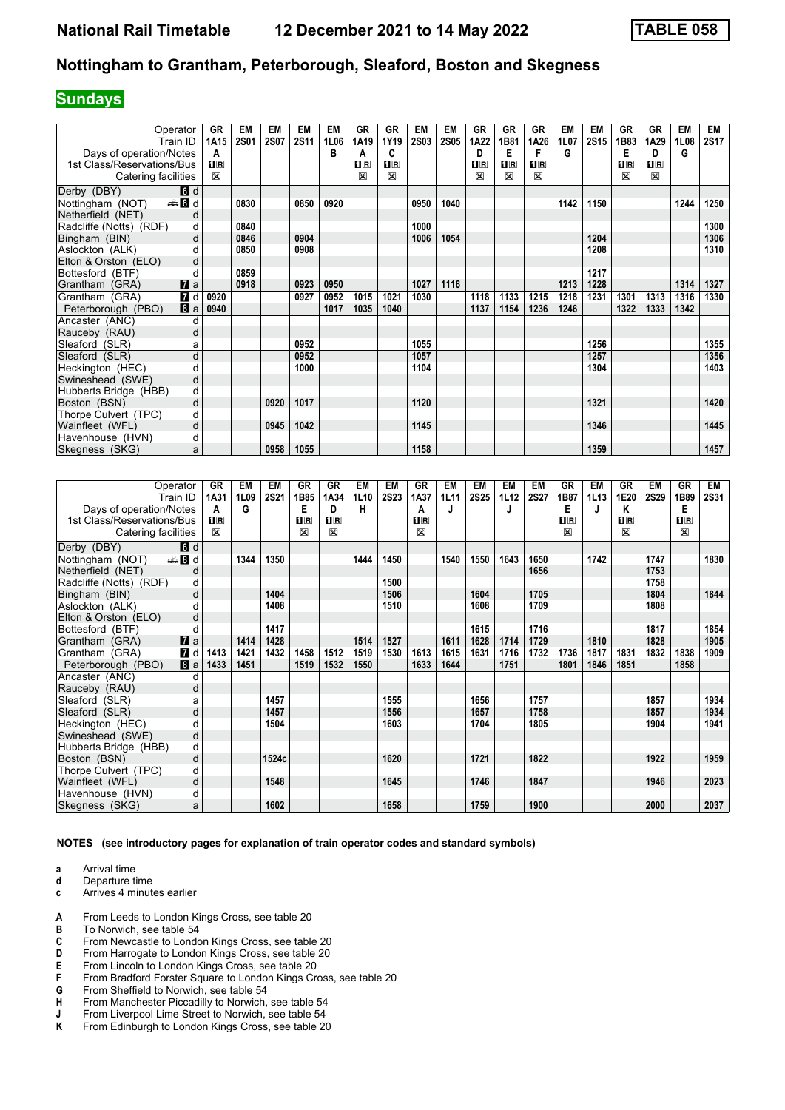## **Sundays**

| Operator                         | GR          | EM          | EM          | <b>EM</b>   | EM   | GR          | <b>GR</b>      | <b>EM</b>   | <b>EM</b>   | <b>GR</b> | GR                                              | <b>GR</b> | EM   | <b>EM</b>   | <b>GR</b>   | GR      | EM   | EM          |
|----------------------------------|-------------|-------------|-------------|-------------|------|-------------|----------------|-------------|-------------|-----------|-------------------------------------------------|-----------|------|-------------|-------------|---------|------|-------------|
| Train ID                         | 1A15        | <b>2S01</b> | <b>2S07</b> | <b>2S11</b> | 1L06 | 1A19        | 1Y19           | <b>2S03</b> | <b>2S05</b> | 1A22      | 1B81                                            | 1A26      | 1L07 | <b>2S15</b> | 1B83        | 1A29    | 1L08 | <b>2S17</b> |
| Days of operation/Notes          | A           |             |             |             | в    | A           | C              |             |             | D         | Е                                               | F         | G    |             | Е           | D       | G    |             |
| 1st Class/Reservations/Bus       | $\prod R$   |             |             |             |      | $n_{\rm R}$ | $\mathbf{H}$ R |             |             | $\Pi$ R   | $\overline{\mathbf{H}}$ $\overline{\mathbf{R}}$ | nR        |      |             | $n_{\rm R}$ | $\Pi$ R |      |             |
| Catering facilities              | $\boxtimes$ |             |             |             |      | X           | $\boxtimes$    |             |             | X         | 図                                               | X         |      |             | ⊠           | X       |      |             |
| 6 d<br>Derby (DBY)               |             |             |             |             |      |             |                |             |             |           |                                                 |           |      |             |             |         |      |             |
| den Bold<br>Nottingham (NOT)     |             | 0830        |             | 0850        | 0920 |             |                | 0950        | 1040        |           |                                                 |           | 1142 | 1150        |             |         | 1244 | 1250        |
| Netherfield (NET)<br>d           |             |             |             |             |      |             |                |             |             |           |                                                 |           |      |             |             |         |      |             |
| Radcliffe (Notts) (RDF)<br>d     |             | 0840        |             |             |      |             |                | 1000        |             |           |                                                 |           |      |             |             |         |      | 1300        |
| Bingham (BIN)<br>d               |             | 0846        |             | 0904        |      |             |                | 1006        | 1054        |           |                                                 |           |      | 1204        |             |         |      | 1306        |
| Aslockton (ALK)<br>d             |             | 0850        |             | 0908        |      |             |                |             |             |           |                                                 |           |      | 1208        |             |         |      | 1310        |
| Elton & Orston (ELO)<br>d        |             |             |             |             |      |             |                |             |             |           |                                                 |           |      |             |             |         |      |             |
| Bottesford (BTF)<br>d            |             | 0859        |             |             |      |             |                |             |             |           |                                                 |           |      | 1217        |             |         |      |             |
| $\mathbf{z}$ a<br>Grantham (GRA) |             | 0918        |             | 0923        | 0950 |             |                | 1027        | 1116        |           |                                                 |           | 1213 | 1228        |             |         | 1314 | 1327        |
| <b>7</b> d<br>Grantham (GRA)     | 0920        |             |             | 0927        | 0952 | 1015        | 1021           | 1030        |             | 1118      | 1133                                            | 1215      | 1218 | 1231        | 1301        | 1313    | 1316 | 1330        |
| 8a<br>Peterborough (PBO)         | 0940        |             |             |             | 1017 | 1035        | 1040           |             |             | 1137      | 1154                                            | 1236      | 1246 |             | 1322        | 1333    | 1342 |             |
| Ancaster (ANC)<br>d              |             |             |             |             |      |             |                |             |             |           |                                                 |           |      |             |             |         |      |             |
| Rauceby (RAU)<br>d               |             |             |             |             |      |             |                |             |             |           |                                                 |           |      |             |             |         |      |             |
| Sleaford (SLR)<br>a              |             |             |             | 0952        |      |             |                | 1055        |             |           |                                                 |           |      | 1256        |             |         |      | 1355        |
| d<br>Sleaford (SLR)              |             |             |             | 0952        |      |             |                | 1057        |             |           |                                                 |           |      | 1257        |             |         |      | 1356        |
| Heckington (HEC)<br>d            |             |             |             | 1000        |      |             |                | 1104        |             |           |                                                 |           |      | 1304        |             |         |      | 1403        |
| Swineshead (SWE)<br>d            |             |             |             |             |      |             |                |             |             |           |                                                 |           |      |             |             |         |      |             |
| Hubberts Bridge (HBB)<br>d       |             |             |             |             |      |             |                |             |             |           |                                                 |           |      |             |             |         |      |             |
| Boston (BSN)<br>d                |             |             | 0920        | 1017        |      |             |                | 1120        |             |           |                                                 |           |      | 1321        |             |         |      | 1420        |
| Thorpe Culvert (TPC)<br>d        |             |             |             |             |      |             |                |             |             |           |                                                 |           |      |             |             |         |      |             |
| Wainfleet (WFL)<br>d             |             |             | 0945        | 1042        |      |             |                | 1145        |             |           |                                                 |           |      | 1346        |             |         |      | 1445        |
| Havenhouse (HVN)<br>d            |             |             |             |             |      |             |                |             |             |           |                                                 |           |      |             |             |         |      |             |
| Skegness (SKG)<br>a              |             |             | 0958        | 1055        |      |             |                | 1158        |             |           |                                                 |           |      | 1359        |             |         |      | 1457        |

| Operator                             | GR                 | EM   | EM          | GR                      | GR                      | EM   | EM          | GR      | EM   | EM          | EM          | EM          | GR           | EM   | <b>GR</b>   | EM          | GR             | EM          |
|--------------------------------------|--------------------|------|-------------|-------------------------|-------------------------|------|-------------|---------|------|-------------|-------------|-------------|--------------|------|-------------|-------------|----------------|-------------|
| Train ID                             | 1A31               | 1L09 | <b>2S21</b> | 1B85                    | 1A34                    | 1L10 | <b>2S23</b> | 1A37    | 1L11 | <b>2S25</b> | <b>1L12</b> | <b>2S27</b> | 1B87         | 1L13 | 1E20        | <b>2S29</b> | 1B89           | <b>2S31</b> |
| Days of operation/Notes              | A                  | G    |             | Е                       | D                       | н    |             | А       | J    |             |             |             | Е            | J    | Κ           |             | Е              |             |
| 1st Class/Reservations/Bus           | $\Pi$ <sub>R</sub> |      |             | $\overline{\mathbf{H}}$ | $\overline{\mathbf{B}}$ |      |             | $\Pi$ R |      |             |             |             | $1\text{R}$  |      | $n_{\rm R}$ |             | $\mathbf{I}$ R |             |
| Catering facilities                  | X                  |      |             | X                       | $\boxtimes$             |      |             | X       |      |             |             |             | $\mathbb{R}$ |      | X           |             | X              |             |
| Derby (DBY)<br><b>6</b> d            |                    |      |             |                         |                         |      |             |         |      |             |             |             |              |      |             |             |                |             |
| $\triangleq 8$ d<br>Nottingham (NOT) |                    | 1344 | 1350        |                         |                         | 1444 | 1450        |         | 1540 | 1550        | 1643        | 1650        |              | 1742 |             | 1747        |                | 1830        |
| Netherfield (NET)                    | d                  |      |             |                         |                         |      |             |         |      |             |             | 1656        |              |      |             | 1753        |                |             |
| Radcliffe (Notts) (RDF)              | d                  |      |             |                         |                         |      | 1500        |         |      |             |             |             |              |      |             | 1758        |                |             |
| Bingham (BIN)                        | d                  |      | 1404        |                         |                         |      | 1506        |         |      | 1604        |             | 1705        |              |      |             | 1804        |                | 1844        |
| Aslockton (ALK)                      |                    |      | 1408        |                         |                         |      | 1510        |         |      | 1608        |             | 1709        |              |      |             | 1808        |                |             |
| Elton & Orston (ELO)                 | d                  |      |             |                         |                         |      |             |         |      |             |             |             |              |      |             |             |                |             |
| Bottesford (BTF)                     | d                  |      | 1417        |                         |                         |      |             |         |      | 1615        |             | 1716        |              |      |             | 1817        |                | 1854        |
| $\mathbf{z}$ a<br>Grantham (GRA)     |                    | 1414 | 1428        |                         |                         | 1514 | 1527        |         | 1611 | 1628        | 1714        | 1729        |              | 1810 |             | 1828        |                | 1905        |
| 7d<br>Grantham (GRA)                 | 1413               | 1421 | 1432        | 1458                    | 1512                    | 1519 | 1530        | 1613    | 1615 | 1631        | 1716        | 1732        | 1736         | 1817 | 1831        | 1832        | 1838           | 1909        |
| 8 a<br>Peterborough (PBO)            | 1433               | 1451 |             | 1519                    | 1532                    | 1550 |             | 1633    | 1644 |             | 1751        |             | 1801         | 1846 | 1851        |             | 1858           |             |
| Ancaster (ANC)                       | d                  |      |             |                         |                         |      |             |         |      |             |             |             |              |      |             |             |                |             |
| Rauceby (RAU)                        | d                  |      |             |                         |                         |      |             |         |      |             |             |             |              |      |             |             |                |             |
| Sleaford (SLR)                       | a                  |      | 1457        |                         |                         |      | 1555        |         |      | 1656        |             | 1757        |              |      |             | 1857        |                | 1934        |
| Sleaford (SLR)                       | d                  |      | 1457        |                         |                         |      | 1556        |         |      | 1657        |             | 1758        |              |      |             | 1857        |                | 1934        |
| Heckington (HEC)                     | d                  |      | 1504        |                         |                         |      | 1603        |         |      | 1704        |             | 1805        |              |      |             | 1904        |                | 1941        |
| Swineshead (SWE)                     | d                  |      |             |                         |                         |      |             |         |      |             |             |             |              |      |             |             |                |             |
| Hubberts Bridge (HBB)                | d                  |      |             |                         |                         |      |             |         |      |             |             |             |              |      |             |             |                |             |
| Boston (BSN)                         | d                  |      | 1524c       |                         |                         |      | 1620        |         |      | 1721        |             | 1822        |              |      |             | 1922        |                | 1959        |
| Thorpe Culvert (TPC)                 | d                  |      |             |                         |                         |      |             |         |      |             |             |             |              |      |             |             |                |             |
| Wainfleet (WFL)                      | d                  |      | 1548        |                         |                         |      | 1645        |         |      | 1746        |             | 1847        |              |      |             | 1946        |                | 2023        |
| Havenhouse (HVN)                     | d                  |      |             |                         |                         |      |             |         |      |             |             |             |              |      |             |             |                |             |
| Skegness (SKG)                       | a                  |      | 1602        |                         |                         |      | 1658        |         |      | 1759        |             | 1900        |              |      |             | 2000        |                | 2037        |

**NOTES (see introductory pages for explanation of train operator codes and standard symbols)**

- **a** Arrival time<br>**d** Departure t
- **d** Departure time
- **c** Arrives 4 minutes earlier
- **A** From Leeds to London Kings Cross, see table 20<br>**B** To Norwich, see table 54
- 
- **B** To Norwich, see table 54<br>**C** From Newcastle to Londo From Newcastle to London Kings Cross, see table 20
- 
- **D** From Harrogate to London Kings Cross, see table 20<br>**E** From Lincoln to London Kings Cross, see table 20 **E** From Lincoln to London Kings Cross, see table 20<br>**F** From Bradford Forster Square to London Kings Cro
- **F** From Bradford Forster Square to London Kings Cross, see table 20<br>**G** From Sheffield to Norwich, see table 54
- 
- **6** From Sheffield to Norwich, see table 54<br>**H** From Manchester Piccadilly to Norwich, **+** From Manchester Piccadilly to Norwich, see table 54<br>**+** From Liverpool Lime Street to Norwich, see table 54
- **-** From Liverpool Lime Street to Norwich, see table 54<br>**K** From Edinburgh to London Kings Cross, see table 2
- From Edinburgh to London Kings Cross, see table 20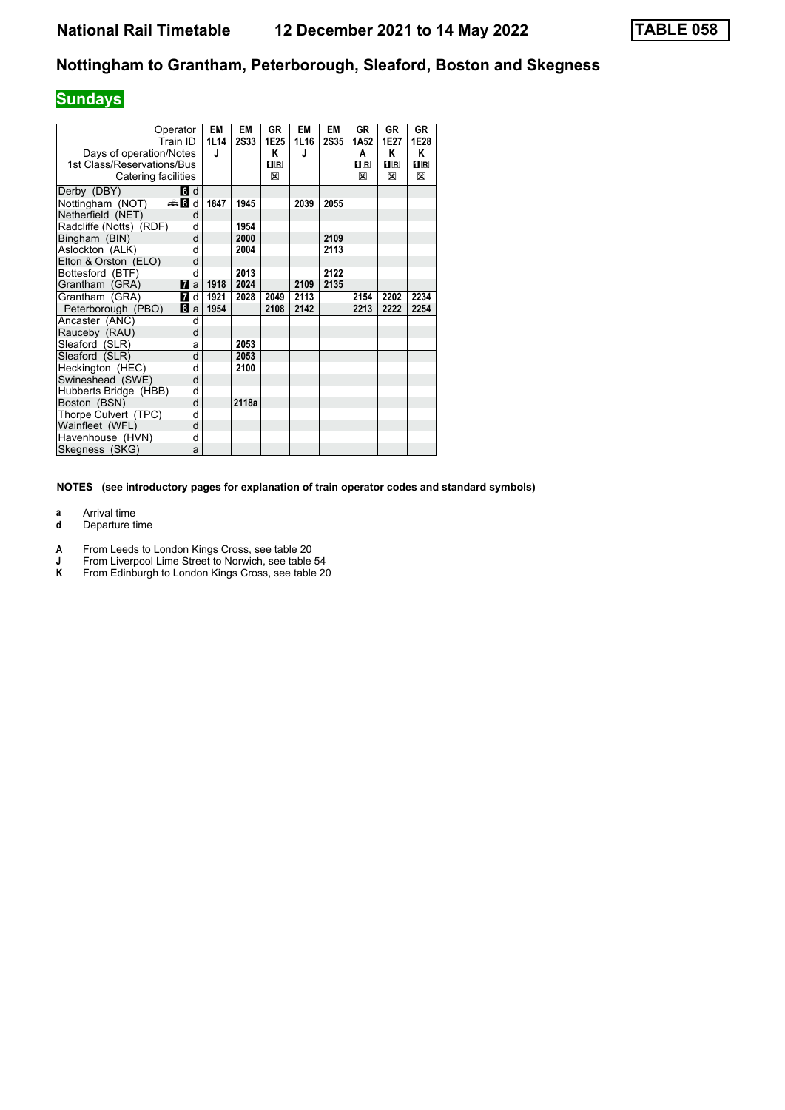# **Sundays**

| Operator                         |   | <b>EM</b> | EM          | GR      | <b>EM</b> | EM          | GR               | GR      | <b>GR</b> |
|----------------------------------|---|-----------|-------------|---------|-----------|-------------|------------------|---------|-----------|
| Train ID                         |   | 1L14      | <b>2S33</b> | 1E25    | 1L16      | <b>2S35</b> | 1A <sub>52</sub> | 1E27    | 1E28      |
| Days of operation/Notes          |   | J         |             | Κ       | J         |             | A                | Κ       | Κ         |
| 1st Class/Reservations/Bus       |   |           |             | $\Pi$ R |           |             | $\Pi$ R          | $\Pi$ R | 1F        |
| Catering facilities              |   |           |             | X       |           |             | X                | X       | X         |
|                                  |   |           |             |         |           |             |                  |         |           |
| 6 d<br>Derby (DBY)               |   |           |             |         |           |             |                  |         |           |
| Nottingham (NOT)<br>den Bid      |   | 1847      | 1945        |         | 2039      | 2055        |                  |         |           |
| Netherfield (NET)                | d |           |             |         |           |             |                  |         |           |
| Radcliffe (Notts) (RDF)          | d |           | 1954        |         |           |             |                  |         |           |
| Bingham (BIN)                    | d |           | 2000        |         |           | 2109        |                  |         |           |
| Aslockton (ALK)                  | d |           | 2004        |         |           | 2113        |                  |         |           |
| Elton & Orston (ELO)             | d |           |             |         |           |             |                  |         |           |
| Bottesford (BTF)                 | d |           | 2013        |         |           | 2122        |                  |         |           |
| $\mathbf{z}$ a<br>Grantham (GRA) |   | 1918      | 2024        |         | 2109      | 2135        |                  |         |           |
| Grantham (GRA)<br><b>7</b> d     |   | 1921      | 2028        | 2049    | 2113      |             | 2154             | 2202    | 2234      |
| Peterborough (PBO)<br>8a         |   | 1954      |             | 2108    | 2142      |             | 2213             | 2222    | 2254      |
| Ancaster (ANC)                   | d |           |             |         |           |             |                  |         |           |
| Rauceby (RAU)                    | d |           |             |         |           |             |                  |         |           |
| Sleaford (SLR)                   | a |           | 2053        |         |           |             |                  |         |           |
| Sleaford (SLR)                   | d |           | 2053        |         |           |             |                  |         |           |
| Heckington (HEC)                 | d |           | 2100        |         |           |             |                  |         |           |
| Swineshead (SWE)                 | d |           |             |         |           |             |                  |         |           |
| Hubberts Bridge (HBB)            | d |           |             |         |           |             |                  |         |           |
| Boston (BSN)                     | d |           | 2118a       |         |           |             |                  |         |           |
| Thorpe Culvert (TPC)             | d |           |             |         |           |             |                  |         |           |
| Wainfleet (WFL)                  | d |           |             |         |           |             |                  |         |           |
| Havenhouse (HVN)                 | d |           |             |         |           |             |                  |         |           |
| Skegness (SKG)                   | a |           |             |         |           |             |                  |         |           |

**NOTES (see introductory pages for explanation of train operator codes and standard symbols)**

**a** Arrival time<br>**d** Departure t

- **d** Departure time
- **A** From Leeds to London Kings Cross, see table 20
- **J** From Liverpool Lime Street to Norwich, see table 54<br>**K** From Edinburgh to London Kings Cross, see table 20
- From Edinburgh to London Kings Cross, see table 20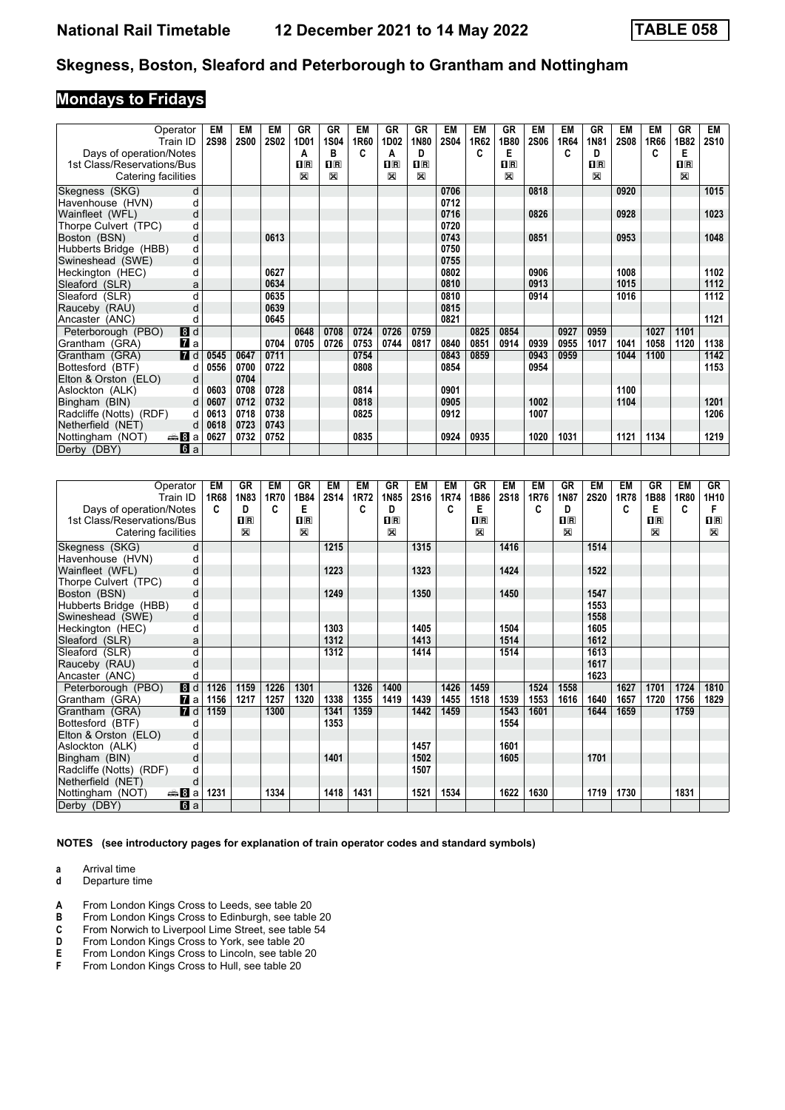## **Mondays to Fridays**

| Operator                             | EM          | EM          | EM          | <b>GR</b>                   | <b>GR</b>                                                      | <b>EM</b> | <b>GR</b>                    | <b>GR</b>                    | EM          | EM   | <b>GR</b>                    | <b>EM</b>   | EM   | <b>GR</b>        | <b>EM</b>   | <b>EM</b> | GR                         | EM          |
|--------------------------------------|-------------|-------------|-------------|-----------------------------|----------------------------------------------------------------|-----------|------------------------------|------------------------------|-------------|------|------------------------------|-------------|------|------------------|-------------|-----------|----------------------------|-------------|
| Train ID                             | <b>2S98</b> | <b>2S00</b> | <b>2S02</b> | 1D01                        | 1S04                                                           | 1R60      | 1D02                         | 1N80                         | <b>2S04</b> | 1R62 | 1B80                         | <b>2S06</b> | 1R64 | <b>1N81</b>      | <b>2S08</b> | 1R66      | 1B82                       | <b>2S10</b> |
| Days of operation/Notes              |             |             |             | А                           | в                                                              | C         | Α                            | D                            |             | c    | Е                            |             |      | D                |             | c         | E                          |             |
| 1st Class/Reservations/Bus           |             |             |             | $n_{\rm R}$<br>$\mathbb{X}$ | $\overline{\mathbf{H}}$ $\overline{\mathbf{R}}$<br>$\boxtimes$ |           | $\overline{\mathbf{H}}$<br>X | $\overline{\mathbf{R}}$<br>X |             |      | $\overline{\mathbf{R}}$<br>X |             |      | $n_{\rm R}$<br>X |             |           | $n_{\rm R}$<br>$\boxtimes$ |             |
| Catering facilities                  |             |             |             |                             |                                                                |           |                              |                              |             |      |                              |             |      |                  |             |           |                            |             |
| Skegness (SKG)                       | d           |             |             |                             |                                                                |           |                              |                              | 0706        |      |                              | 0818        |      |                  | 0920        |           |                            | 1015        |
| Havenhouse (HVN)                     | d           |             |             |                             |                                                                |           |                              |                              | 0712        |      |                              |             |      |                  |             |           |                            |             |
| Wainfleet (WFL)                      | d           |             |             |                             |                                                                |           |                              |                              | 0716        |      |                              | 0826        |      |                  | 0928        |           |                            | 1023        |
| Thorpe Culvert (TPC)                 | d           |             |             |                             |                                                                |           |                              |                              | 0720        |      |                              |             |      |                  |             |           |                            |             |
| Boston (BSN)                         | d           |             | 0613        |                             |                                                                |           |                              |                              | 0743        |      |                              | 0851        |      |                  | 0953        |           |                            | 1048        |
| Hubberts Bridge (HBB)                | d           |             |             |                             |                                                                |           |                              |                              | 0750        |      |                              |             |      |                  |             |           |                            |             |
| Swineshead (SWE)                     | d           |             |             |                             |                                                                |           |                              |                              | 0755        |      |                              |             |      |                  |             |           |                            |             |
| Heckington (HEC)                     | d           |             | 0627        |                             |                                                                |           |                              |                              | 0802        |      |                              | 0906        |      |                  | 1008        |           |                            | 1102        |
| Sleaford (SLR)                       | a           |             | 0634        |                             |                                                                |           |                              |                              | 0810        |      |                              | 0913        |      |                  | 1015        |           |                            | 1112        |
| Sleaford (SLR)                       | d           |             | 0635        |                             |                                                                |           |                              |                              | 0810        |      |                              | 0914        |      |                  | 1016        |           |                            | 1112        |
| Rauceby (RAU)                        | d           |             | 0639        |                             |                                                                |           |                              |                              | 0815        |      |                              |             |      |                  |             |           |                            |             |
| Ancaster (ANC)                       | d           |             | 0645        |                             |                                                                |           |                              |                              | 0821        |      |                              |             |      |                  |             |           |                            | 1121        |
| 8d<br>Peterborough (PBO)             |             |             |             | 0648                        | 0708                                                           | 0724      | 0726                         | 0759                         |             | 0825 | 0854                         |             | 0927 | 0959             |             | 1027      | 1101                       |             |
| <b>7</b> a<br>Grantham (GRA)         |             |             | 0704        | 0705                        | 0726                                                           | 0753      | 0744                         | 0817                         | 0840        | 0851 | 0914                         | 0939        | 0955 | 1017             | 1041        | 1058      | 1120                       | 1138        |
| <b>7</b> d<br>Grantham (GRA)         | 0545        | 0647        | 0711        |                             |                                                                | 0754      |                              |                              | 0843        | 0859 |                              | 0943        | 0959 |                  | 1044        | 1100      |                            | 1142        |
| Bottesford (BTF)                     | 0556<br>d   | 0700        | 0722        |                             |                                                                | 0808      |                              |                              | 0854        |      |                              | 0954        |      |                  |             |           |                            | 1153        |
| Elton & Orston (ELO)                 | d           | 0704        |             |                             |                                                                |           |                              |                              |             |      |                              |             |      |                  |             |           |                            |             |
| Aslockton (ALK)                      | d<br>0603   | 0708        | 0728        |                             |                                                                | 0814      |                              |                              | 0901        |      |                              |             |      |                  | 1100        |           |                            |             |
| Bingham (BIN)                        | d<br>0607   | 0712        | 0732        |                             |                                                                | 0818      |                              |                              | 0905        |      |                              | 1002        |      |                  | 1104        |           |                            | 1201        |
| Radcliffe (Notts) (RDF)              | 0613<br>d   | 0718        | 0738        |                             |                                                                | 0825      |                              |                              | 0912        |      |                              | 1007        |      |                  |             |           |                            | 1206        |
| Netherfield (NET)                    | 0618<br>d   | 0723        | 0743        |                             |                                                                |           |                              |                              |             |      |                              |             |      |                  |             |           |                            |             |
| <del>⊯</del> ыВа<br>Nottingham (NOT) | 0627        | 0732        | 0752        |                             |                                                                | 0835      |                              |                              | 0924        | 0935 |                              | 1020        | 1031 |                  | 1121        | 1134      |                            | 1219        |
| <b>6</b> a<br>Derby (DBY)            |             |             |             |                             |                                                                |           |                              |                              |             |      |                              |             |      |                  |             |           |                            |             |

| Operator                     |                | EM   | GR      | EM   | GR          | EM          | EM          | <b>GR</b>                 | EM   | EM   | GR   | EM          | EM   | GR             | EM          | EM   | GR                        | <b>EM</b> | GR                                              |
|------------------------------|----------------|------|---------|------|-------------|-------------|-------------|---------------------------|------|------|------|-------------|------|----------------|-------------|------|---------------------------|-----------|-------------------------------------------------|
| Train ID                     |                | 1R68 | 1N83    | 1R70 | 1B84        | <b>2S14</b> | <b>1R72</b> | 1N85                      | 2S16 | 1R74 | 1B86 | <b>2S18</b> | 1R76 | 1N87           | <b>2S20</b> | 1R78 | 1B88                      | 1R80      | 1H10                                            |
| Days of operation/Notes      |                | C    | D       | C    | Е           |             | C           | D                         |      | C    | Е    |             | C    | D              |             | c    | E                         | C         | F                                               |
| 1st Class/Reservations/Bus   |                |      | $n_{R}$ |      | $n_{\rm R}$ |             |             | $\overline{\mathbf{H}}$ R |      |      | nR   |             |      | $\mathbf{I}$ R |             |      | $\overline{\mathbf{H}}$ R |           | $\overline{\mathbf{H}}$ $\overline{\mathbf{R}}$ |
| Catering facilities          |                |      | X       |      | X           |             |             | $\boxtimes$               |      |      | X    |             |      | $\mathbb{R}$   |             |      | X                         |           | $\mathbb{X}$                                    |
| Skegness (SKG)               | d              |      |         |      |             | 1215        |             |                           | 1315 |      |      | 1416        |      |                | 1514        |      |                           |           |                                                 |
| Havenhouse (HVN)             | d              |      |         |      |             |             |             |                           |      |      |      |             |      |                |             |      |                           |           |                                                 |
| Wainfleet (WFL)              | d              |      |         |      |             | 1223        |             |                           | 1323 |      |      | 1424        |      |                | 1522        |      |                           |           |                                                 |
| Thorpe Culvert (TPC)         | d              |      |         |      |             |             |             |                           |      |      |      |             |      |                |             |      |                           |           |                                                 |
| Boston (BSN)                 | d              |      |         |      |             | 1249        |             |                           | 1350 |      |      | 1450        |      |                | 1547        |      |                           |           |                                                 |
| Hubberts Bridge (HBB)        | d              |      |         |      |             |             |             |                           |      |      |      |             |      |                | 1553        |      |                           |           |                                                 |
| Swineshead (SWE)             | d              |      |         |      |             |             |             |                           |      |      |      |             |      |                | 1558        |      |                           |           |                                                 |
| Heckington (HEC)             | d              |      |         |      |             | 1303        |             |                           | 1405 |      |      | 1504        |      |                | 1605        |      |                           |           |                                                 |
| Sleaford (SLR)               | a              |      |         |      |             | 1312        |             |                           | 1413 |      |      | 1514        |      |                | 1612        |      |                           |           |                                                 |
| Sleaford (SLR)               | d              |      |         |      |             | 1312        |             |                           | 1414 |      |      | 1514        |      |                | 1613        |      |                           |           |                                                 |
| Rauceby (RAU)                | d              |      |         |      |             |             |             |                           |      |      |      |             |      |                | 1617        |      |                           |           |                                                 |
| Ancaster (ANC)               | C              |      |         |      |             |             |             |                           |      |      |      |             |      |                | 1623        |      |                           |           |                                                 |
| Peterborough (PBO)           | 8d             | 1126 | 1159    | 1226 | 1301        |             | 1326        | 1400                      |      | 1426 | 1459 |             | 1524 | 1558           |             | 1627 | 1701                      | 1724      | 1810                                            |
| Grantham (GRA)               | $\mathbf{z}$ a | 1156 | 1217    | 1257 | 1320        | 1338        | 1355        | 1419                      | 1439 | 1455 | 1518 | 1539        | 1553 | 1616           | 1640        | 1657 | 1720                      | 1756      | 1829                                            |
| Grantham (GRA)               | $\blacksquare$ | 1159 |         | 1300 |             | 1341        | 1359        |                           | 1442 | 1459 |      | 1543        | 1601 |                | 1644        | 1659 |                           | 1759      |                                                 |
| Bottesford (BTF)             | d              |      |         |      |             | 1353        |             |                           |      |      |      | 1554        |      |                |             |      |                           |           |                                                 |
| Elton & Orston (ELO)         | d              |      |         |      |             |             |             |                           |      |      |      |             |      |                |             |      |                           |           |                                                 |
| Aslockton (ALK)              | d              |      |         |      |             |             |             |                           | 1457 |      |      | 1601        |      |                |             |      |                           |           |                                                 |
| Bingham (BIN)                | d              |      |         |      |             | 1401        |             |                           | 1502 |      |      | 1605        |      |                | 1701        |      |                           |           |                                                 |
| Radcliffe (Notts) (RDF)      | d              |      |         |      |             |             |             |                           | 1507 |      |      |             |      |                |             |      |                           |           |                                                 |
| Netherfield (NET)            | d              |      |         |      |             |             |             |                           |      |      |      |             |      |                |             |      |                           |           |                                                 |
| Nottingham (NOT)<br>anna 8la |                | 1231 |         | 1334 |             | 1418        | 1431        |                           | 1521 | 1534 |      | 1622        | 1630 |                | 1719        | 1730 |                           | 1831      |                                                 |
| Derby (DBY)                  | 6a             |      |         |      |             |             |             |                           |      |      |      |             |      |                |             |      |                           |           |                                                 |

**NOTES (see introductory pages for explanation of train operator codes and standard symbols)**

**a** Arrival time<br>**d** Departure t

- **d** Departure time
- **A** From London Kings Cross to Leeds, see table 20<br>**B** From London Kings Cross to Edinburgh, see table
- **B** From London Kings Cross to Edinburgh, see table 20 **C** From Norwich to Liverpool Lime Street, see table 54
- **C** From Norwich to Liverpool Lime Street, see table 54<br> **D** From London Kings Cross to York, see table 20
- 
- **D** From London Kings Cross to York, see table 20<br>**E** From London Kings Cross to Lincoln, see table<br>**F** From London Kings Cross to Hull, see table 20 From London Kings Cross to Lincoln, see table 20
- From London Kings Cross to Hull, see table 20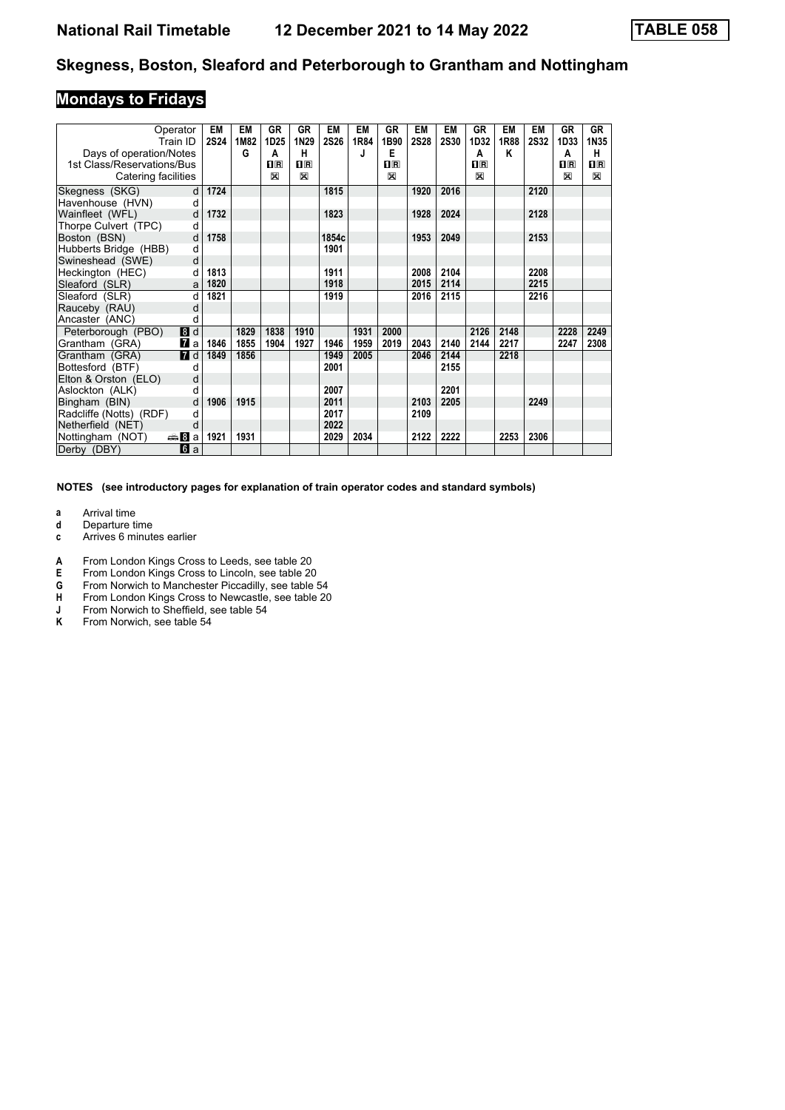## **Mondays to Fridays**

| Operator<br>Train ID                 | <b>EM</b><br><b>2S24</b> | EM<br>1M82 | GR<br>1D25 | <b>GR</b><br>1N29 | <b>EM</b><br><b>2S26</b> | EM<br>1R84 | GR<br>1B90 | EM<br><b>2S28</b> | <b>EM</b><br><b>2S30</b> | GR<br>1D32  | EM<br>1R88 | <b>EM</b><br><b>2S32</b> | GR<br>1D33  | GR<br>1N35   |
|--------------------------------------|--------------------------|------------|------------|-------------------|--------------------------|------------|------------|-------------------|--------------------------|-------------|------------|--------------------------|-------------|--------------|
| Days of operation/Notes              |                          | G          | A          | н                 |                          | J          | Е          |                   |                          | A           | Κ          |                          | A           | н.           |
| 1st Class/Reservations/Bus           |                          |            | $\Pi$ R    | $\Pi$ R           |                          |            | $\Pi$ R    |                   |                          | $n_{\rm R}$ |            |                          | $n_{\rm R}$ | $n_{\rm{R}}$ |
| Catering facilities                  |                          |            | X          | $\mathbb{X}$      |                          |            | X          |                   |                          | X           |            |                          | $\boxtimes$ | $\boxtimes$  |
| Skegness (SKG)                       | 1724<br>d                |            |            |                   | 1815                     |            |            | 1920              | 2016                     |             |            | 2120                     |             |              |
| Havenhouse (HVN)                     | d                        |            |            |                   |                          |            |            |                   |                          |             |            |                          |             |              |
| Wainfleet (WFL)                      | 1732<br>d                |            |            |                   | 1823                     |            |            | 1928              | 2024                     |             |            | 2128                     |             |              |
| Thorpe Culvert (TPC)                 | d                        |            |            |                   |                          |            |            |                   |                          |             |            |                          |             |              |
| Boston (BSN)                         | d<br>1758                |            |            |                   | 1854c                    |            |            | 1953              | 2049                     |             |            | 2153                     |             |              |
| Hubberts Bridge (HBB)                | d                        |            |            |                   | 1901                     |            |            |                   |                          |             |            |                          |             |              |
| Swineshead (SWE)                     | d                        |            |            |                   |                          |            |            |                   |                          |             |            |                          |             |              |
| Heckington (HEC)                     | 1813<br>d                |            |            |                   | 1911                     |            |            | 2008              | 2104                     |             |            | 2208                     |             |              |
| Sleaford (SLR)                       | 1820<br>a                |            |            |                   | 1918                     |            |            | 2015              | 2114                     |             |            | 2215                     |             |              |
| Sleaford (SLR)                       | d<br>1821                |            |            |                   | 1919                     |            |            | 2016              | 2115                     |             |            | 2216                     |             |              |
| Rauceby (RAU)                        | d                        |            |            |                   |                          |            |            |                   |                          |             |            |                          |             |              |
| Ancaster (ANC)                       | d                        |            |            |                   |                          |            |            |                   |                          |             |            |                          |             |              |
| 8d<br>Peterborough (PBO)             |                          | 1829       | 1838       | 1910              |                          | 1931       | 2000       |                   |                          | 2126        | 2148       |                          | 2228        | 2249         |
| <b>7</b> a<br>Grantham (GRA)         | 1846                     | 1855       | 1904       | 1927              | 1946                     | 1959       | 2019       | 2043              | 2140                     | 2144        | 2217       |                          | 2247        | 2308         |
| $\blacksquare$<br>Grantham (GRA)     | 1849                     | 1856       |            |                   | 1949                     | 2005       |            | 2046              | 2144                     |             | 2218       |                          |             |              |
| Bottesford (BTF)                     | d                        |            |            |                   | 2001                     |            |            |                   | 2155                     |             |            |                          |             |              |
| Elton & Orston (ELO)                 | d                        |            |            |                   |                          |            |            |                   |                          |             |            |                          |             |              |
| Aslockton (ALK)                      | d                        |            |            |                   | 2007                     |            |            |                   | 2201                     |             |            |                          |             |              |
| Bingham (BIN)                        | 1906<br>d                | 1915       |            |                   | 2011                     |            |            | 2103              | 2205                     |             |            | 2249                     |             |              |
| Radcliffe (Notts) (RDF)              | d                        |            |            |                   | 2017                     |            |            | 2109              |                          |             |            |                          |             |              |
| Netherfield (NET)                    | d                        |            |            |                   | 2022                     |            |            |                   |                          |             |            |                          |             |              |
| <del>⊯</del> ыВа<br>Nottingham (NOT) | 1921                     | 1931       |            |                   | 2029                     | 2034       |            | 2122              | 2222                     |             | 2253       | 2306                     |             |              |
| Derby (DBY)<br><b>6</b> a            |                          |            |            |                   |                          |            |            |                   |                          |             |            |                          |             |              |

**NOTES (see introductory pages for explanation of train operator codes and standard symbols)**

**a** Arrival time<br>**d** Departure t

**d** Departure time

**c** Arrives 6 minutes earlier

**A** From London Kings Cross to Leeds, see table 20<br>**E** From London Kings Cross to Lincoln, see table 20

**E** From London Kings Cross to Lincoln, see table 20<br>**G** From Norwich to Manchester Piccadilly, see table 9

**\*** From Norwich to Manchester Piccadilly see table 54

- **+** From London Kings Cross to Newcastle, see table 20<br> **+** From Norwich to Sheffield, see table 54<br> **K** From Norwich, see table 54
- From Norwich to Sheffield, see table 54
- From Norwich, see table 54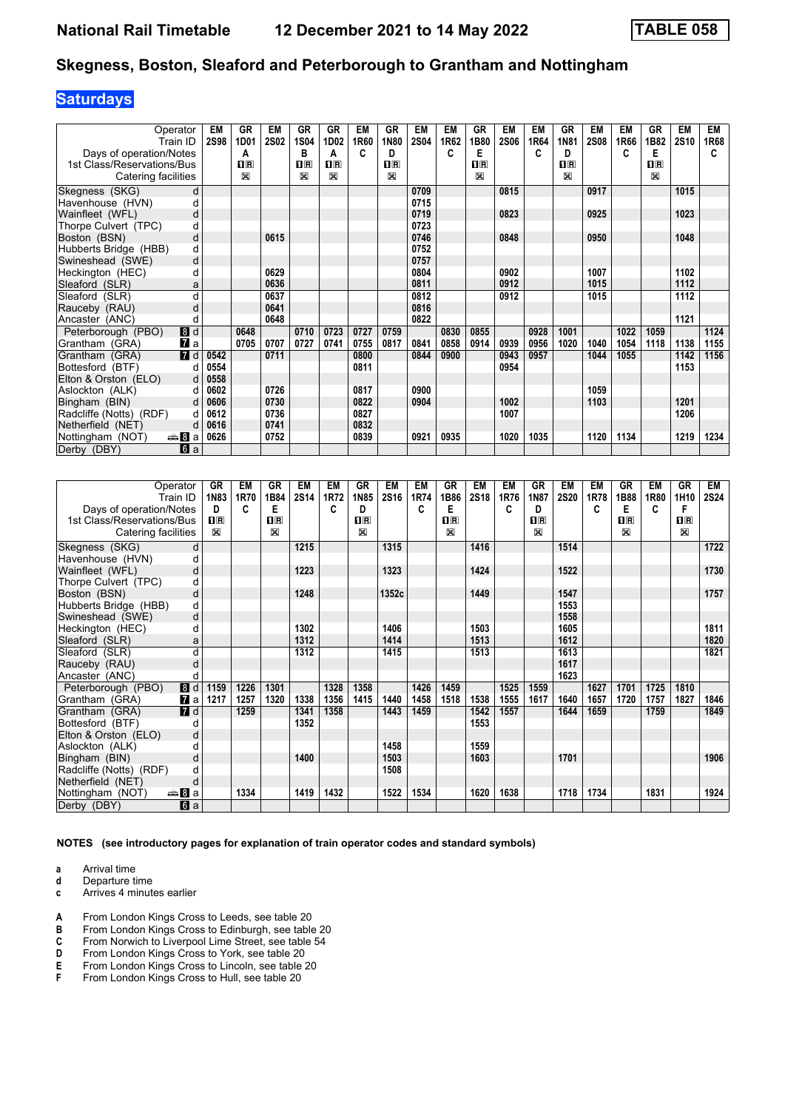## **Saturdays**

| Operator                            | EM          | GR      | EM          | GR                      | GR             | EM   | <b>GR</b>   | EM          | EM   | GR                        | EM          | <b>EM</b> | <b>GR</b>                 | <b>EM</b>   | EM   | GR                        | EM   | EM   |
|-------------------------------------|-------------|---------|-------------|-------------------------|----------------|------|-------------|-------------|------|---------------------------|-------------|-----------|---------------------------|-------------|------|---------------------------|------|------|
| Train ID                            | <b>2S98</b> | 1D01    | <b>2S02</b> | <b>1S04</b>             | 1D02           | 1R60 | 1N80        | <b>2S04</b> | 1R62 | 1B80                      | <b>2S06</b> | 1R64      | 1N81                      | <b>2S08</b> | 1R66 | 1B82                      | 2S10 | 1R68 |
| Days of operation/Notes             |             | A       |             | в                       | A              | C    | D           |             | C    | Е                         |             | C         | D                         |             | C    | Е                         |      | C    |
| 1st Class/Reservations/Bus          |             | $\Pi$ R |             | $\overline{\mathbf{H}}$ | $\mathbf{H}$ R |      | $n_{\rm R}$ |             |      | $\overline{\mathbf{H}}$ R |             |           | $\overline{\mathbf{H}}$ R |             |      | $\overline{\mathbf{H}}$ R |      |      |
| Catering facilities                 |             | X       |             | $\mathbb{X}$            | $\boxtimes$    |      | X           |             |      | X                         |             |           | X                         |             |      | X                         |      |      |
| Skegness (SKG)<br>d                 |             |         |             |                         |                |      |             | 0709        |      |                           | 0815        |           |                           | 0917        |      |                           | 1015 |      |
| Havenhouse (HVN)<br>C               |             |         |             |                         |                |      |             | 0715        |      |                           |             |           |                           |             |      |                           |      |      |
| Wainfleet (WFL)<br>d                |             |         |             |                         |                |      |             | 0719        |      |                           | 0823        |           |                           | 0925        |      |                           | 1023 |      |
| Thorpe Culvert (TPC)<br>d           |             |         |             |                         |                |      |             | 0723        |      |                           |             |           |                           |             |      |                           |      |      |
| Boston (BSN)<br>d                   |             |         | 0615        |                         |                |      |             | 0746        |      |                           | 0848        |           |                           | 0950        |      |                           | 1048 |      |
| Hubberts Bridge (HBB)<br>d          |             |         |             |                         |                |      |             | 0752        |      |                           |             |           |                           |             |      |                           |      |      |
| Swineshead (SWE)<br>d               |             |         |             |                         |                |      |             | 0757        |      |                           |             |           |                           |             |      |                           |      |      |
| Heckington (HEC)<br>C               |             |         | 0629        |                         |                |      |             | 0804        |      |                           | 0902        |           |                           | 1007        |      |                           | 1102 |      |
| Sleaford (SLR)<br>a                 |             |         | 0636        |                         |                |      |             | 0811        |      |                           | 0912        |           |                           | 1015        |      |                           | 1112 |      |
| $\mathbf{c}$<br>Sleaford (SLR)      |             |         | 0637        |                         |                |      |             | 0812        |      |                           | 0912        |           |                           | 1015        |      |                           | 1112 |      |
| Rauceby (RAU)<br>d                  |             |         | 0641        |                         |                |      |             | 0816        |      |                           |             |           |                           |             |      |                           |      |      |
| Ancaster (ANC)<br>C                 |             |         | 0648        |                         |                |      |             | 0822        |      |                           |             |           |                           |             |      |                           | 1121 |      |
| 8d<br>Peterborough (PBO)            |             | 0648    |             | 0710                    | 0723           | 0727 | 0759        |             | 0830 | 0855                      |             | 0928      | 1001                      |             | 1022 | 1059                      |      | 1124 |
| <b>7</b> a<br>Grantham (GRA)        |             | 0705    | 0707        | 0727                    | 0741           | 0755 | 0817        | 0841        | 0858 | 0914                      | 0939        | 0956      | 1020                      | 1040        | 1054 | 1118                      | 1138 | 1155 |
| 7d<br>Grantham (GRA)                | 0542        |         | 0711        |                         |                | 0800 |             | 0844        | 0900 |                           | 0943        | 0957      |                           | 1044        | 1055 |                           | 1142 | 1156 |
| Bottesford (BTF)<br>d               | 0554        |         |             |                         |                | 0811 |             |             |      |                           | 0954        |           |                           |             |      |                           | 1153 |      |
| Elton & Orston (ELO)<br>d           | 0558        |         |             |                         |                |      |             |             |      |                           |             |           |                           |             |      |                           |      |      |
| Aslockton (ALK)<br>d                | 0602        |         | 0726        |                         |                | 0817 |             | 0900        |      |                           |             |           |                           | 1059        |      |                           |      |      |
| Bingham (BIN)<br>d                  | 0606        |         | 0730        |                         |                | 0822 |             | 0904        |      |                           | 1002        |           |                           | 1103        |      |                           | 1201 |      |
| Radcliffe (Notts) (RDF)<br>d        | 0612        |         | 0736        |                         |                | 0827 |             |             |      |                           | 1007        |           |                           |             |      |                           | 1206 |      |
| Netherfield (NET)<br>d              | 0616        |         | 0741        |                         |                | 0832 |             |             |      |                           |             |           |                           |             |      |                           |      |      |
| <del>⊯</del> ⊟а<br>Nottingham (NOT) | 0626        |         | 0752        |                         |                | 0839 |             | 0921        | 0935 |                           | 1020        | 1035      |                           | 1120        | 1134 |                           | 1219 | 1234 |
| 6 a<br>Derby (DBY)                  |             |         |             |                         |                |      |             |             |      |                           |             |           |                           |             |      |                           |      |      |

| Operator                           |   | GR          | EM   | GR          | EM   | EM   | GR      | EM    | EM   | GR                                              | EM          | EM   | GR                                              | EM          | EM   | <b>GR</b>   | EM   | GR           | EM          |
|------------------------------------|---|-------------|------|-------------|------|------|---------|-------|------|-------------------------------------------------|-------------|------|-------------------------------------------------|-------------|------|-------------|------|--------------|-------------|
| Train ID                           |   | 1N83        | 1R70 | 1B84        | 2S14 | 1R72 | 1N85    | 2S16  | 1R74 | 1B86                                            | <b>2S18</b> | 1R76 | 1N87                                            | <b>2S20</b> | 1R78 | 1B88        | 1R80 | 1H10         | <b>2S24</b> |
| Days of operation/Notes            |   | D           | c    | E           |      | C    | D       |       | C    | Е                                               |             | C    | D                                               |             | C    | Е           | c    | F            |             |
| 1st Class/Reservations/Bus         |   | $\prod R$   |      | $\Pi$ R     |      |      | $n_{R}$ |       |      | $\overline{\mathbf{H}}$ $\overline{\mathbf{R}}$ |             |      | $\overline{\mathbf{H}}$ $\overline{\mathbf{R}}$ |             |      | $n_{\rm R}$ |      | $\mathbf{H}$ |             |
| Catering facilities                |   | $\boxtimes$ |      | $\boxtimes$ |      |      | X       |       |      | $\mathbb{X}$                                    |             |      | $\boxtimes$                                     |             |      | X           |      | $\boxtimes$  |             |
| Skegness (SKG)                     | d |             |      |             | 1215 |      |         | 1315  |      |                                                 | 1416        |      |                                                 | 1514        |      |             |      |              | 1722        |
| Havenhouse (HVN)                   | d |             |      |             |      |      |         |       |      |                                                 |             |      |                                                 |             |      |             |      |              |             |
| Wainfleet (WFL)                    | d |             |      |             | 1223 |      |         | 1323  |      |                                                 | 1424        |      |                                                 | 1522        |      |             |      |              | 1730        |
| Thorpe Culvert (TPC)               | d |             |      |             |      |      |         |       |      |                                                 |             |      |                                                 |             |      |             |      |              |             |
| Boston (BSN)                       | d |             |      |             | 1248 |      |         | 1352c |      |                                                 | 1449        |      |                                                 | 1547        |      |             |      |              | 1757        |
| Hubberts Bridge (HBB)              | d |             |      |             |      |      |         |       |      |                                                 |             |      |                                                 | 1553        |      |             |      |              |             |
| Swineshead (SWE)                   | d |             |      |             |      |      |         |       |      |                                                 |             |      |                                                 | 1558        |      |             |      |              |             |
| Heckington (HEC)                   | d |             |      |             | 1302 |      |         | 1406  |      |                                                 | 1503        |      |                                                 | 1605        |      |             |      |              | 1811        |
| Sleaford (SLR)                     | a |             |      |             | 1312 |      |         | 1414  |      |                                                 | 1513        |      |                                                 | 1612        |      |             |      |              | 1820        |
| Sleaford (SLR)                     | d |             |      |             | 1312 |      |         | 1415  |      |                                                 | 1513        |      |                                                 | 1613        |      |             |      |              | 1821        |
| Rauceby (RAU)                      | d |             |      |             |      |      |         |       |      |                                                 |             |      |                                                 | 1617        |      |             |      |              |             |
| Ancaster (ANC)                     | d |             |      |             |      |      |         |       |      |                                                 |             |      |                                                 | 1623        |      |             |      |              |             |
| 8d<br>Peterborough (PBO)           |   | 1159        | 1226 | 1301        |      | 1328 | 1358    |       | 1426 | 1459                                            |             | 1525 | 1559                                            |             | 1627 | 1701        | 1725 | 1810         |             |
| 7 a<br>Grantham (GRA)              |   | 1217        | 1257 | 1320        | 1338 | 1356 | 1415    | 1440  | 1458 | 1518                                            | 1538        | 1555 | 1617                                            | 1640        | 1657 | 1720        | 1757 | 1827         | 1846        |
| $\blacksquare$ d<br>Grantham (GRA) |   |             | 1259 |             | 1341 | 1358 |         | 1443  | 1459 |                                                 | 1542        | 1557 |                                                 | 1644        | 1659 |             | 1759 |              | 1849        |
| Bottesford (BTF)                   | d |             |      |             | 1352 |      |         |       |      |                                                 | 1553        |      |                                                 |             |      |             |      |              |             |
| Elton & Orston (ELO)               | d |             |      |             |      |      |         |       |      |                                                 |             |      |                                                 |             |      |             |      |              |             |
| Aslockton (ALK)                    | d |             |      |             |      |      |         | 1458  |      |                                                 | 1559        |      |                                                 |             |      |             |      |              |             |
| Bingham (BIN)                      | d |             |      |             | 1400 |      |         | 1503  |      |                                                 | 1603        |      |                                                 | 1701        |      |             |      |              | 1906        |
| Radcliffe (Notts) (RDF)            | d |             |      |             |      |      |         | 1508  |      |                                                 |             |      |                                                 |             |      |             |      |              |             |
| Netherfield (NET)                  | d |             |      |             |      |      |         |       |      |                                                 |             |      |                                                 |             |      |             |      |              |             |
| Nottingham (NOT)<br>anna Bilan     |   |             | 1334 |             | 1419 | 1432 |         | 1522  | 1534 |                                                 | 1620        | 1638 |                                                 | 1718        | 1734 |             | 1831 |              | 1924        |
| Derby (DBY)<br>6a                  |   |             |      |             |      |      |         |       |      |                                                 |             |      |                                                 |             |      |             |      |              |             |

**NOTES (see introductory pages for explanation of train operator codes and standard symbols)**

**a** Arrival time<br>**d** Departure t

**d** Departure time

**c** Arrives 4 minutes earlier

- **A** From London Kings Cross to Leeds, see table 20<br>**B** From London Kings Cross to Edinburgh, see table
- **B** From London Kings Cross to Edinburgh, see table 20<br>**C** From Norwich to Liverpool Lime Street, see table 54
- From Norwich to Liverpool Lime Street, see table 54
- 
- **D** From London Kings Cross to York, see table 20<br>**E** From London Kings Cross to Lincoln, see table 1<br>**F** From London Kings Cross to Hull, see table 20 From London Kings Cross to Lincoln, see table 20
- From London Kings Cross to Hull, see table 20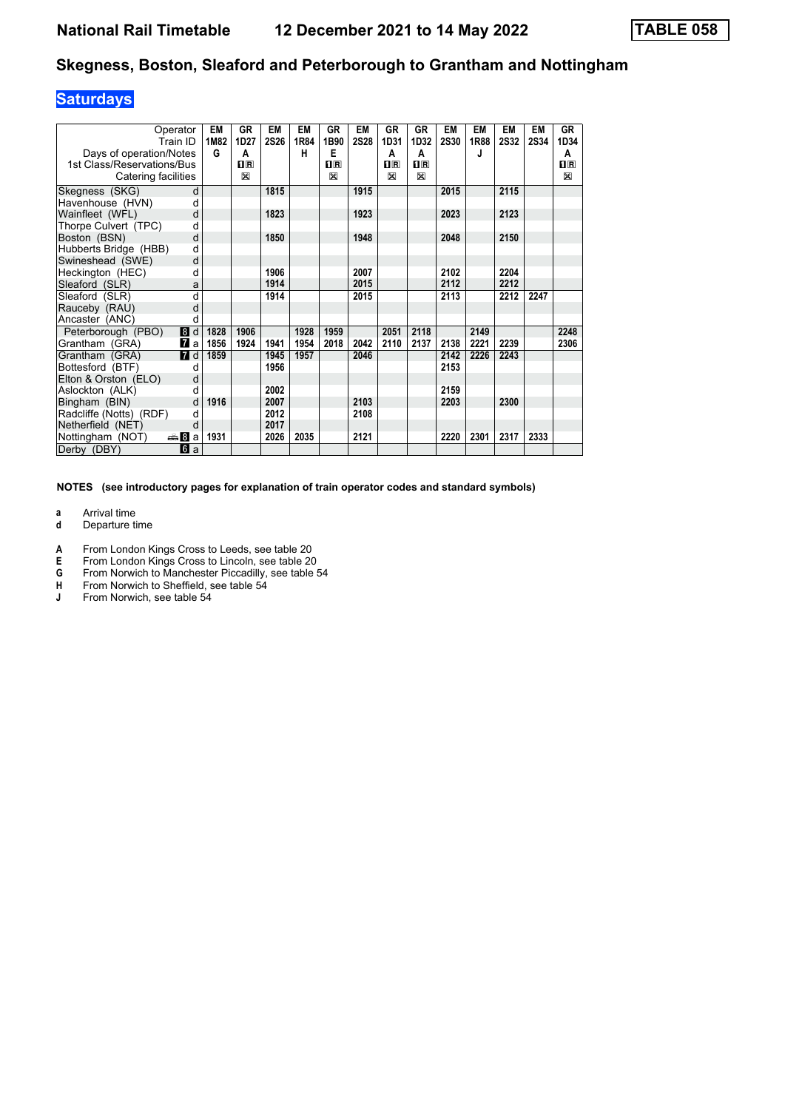## **Saturdays**

| Operator<br>Train ID<br>Days of operation/Notes |              | EM<br>1M82<br>G | <b>GR</b><br>1D27<br>A | EM<br><b>2S26</b> | EM<br>1R84<br>н | GR<br>1B90<br>Е | <b>EM</b><br><b>2S28</b> | <b>GR</b><br>1D31<br>A | <b>GR</b><br>1D32<br>A                          | EM<br><b>2S30</b> | <b>EM</b><br>1R88<br>J | <b>EM</b><br><b>2S32</b> | <b>EM</b><br><b>2S34</b> | GR<br>1D34<br>A |
|-------------------------------------------------|--------------|-----------------|------------------------|-------------------|-----------------|-----------------|--------------------------|------------------------|-------------------------------------------------|-------------------|------------------------|--------------------------|--------------------------|-----------------|
| 1st Class/Reservations/Bus                      |              |                 | $\Pi$ <sub>R</sub>     |                   |                 | $\mathbf{H}$ R  |                          | $n_{R}$                | $\overline{\mathbf{H}}$ $\overline{\mathbf{R}}$ |                   |                        |                          |                          | $1\text{R}$     |
| Catering facilities                             |              |                 | ⊠                      |                   |                 | X               |                          | X                      | X                                               |                   |                        |                          |                          | X               |
| Skegness (SKG)                                  | d            |                 |                        | 1815              |                 |                 | 1915                     |                        |                                                 | 2015              |                        | 2115                     |                          |                 |
| Havenhouse (HVN)                                | d            |                 |                        |                   |                 |                 |                          |                        |                                                 |                   |                        |                          |                          |                 |
| Wainfleet (WFL)                                 | d            |                 |                        | 1823              |                 |                 | 1923                     |                        |                                                 | 2023              |                        | 2123                     |                          |                 |
| Thorpe Culvert (TPC)                            | d            |                 |                        |                   |                 |                 |                          |                        |                                                 |                   |                        |                          |                          |                 |
| Boston (BSN)                                    | d            |                 |                        | 1850              |                 |                 | 1948                     |                        |                                                 | 2048              |                        | 2150                     |                          |                 |
| Hubberts Bridge (HBB)                           | d            |                 |                        |                   |                 |                 |                          |                        |                                                 |                   |                        |                          |                          |                 |
| Swineshead (SWE)                                | d            |                 |                        |                   |                 |                 |                          |                        |                                                 |                   |                        |                          |                          |                 |
| Heckington (HEC)                                | d            |                 |                        | 1906              |                 |                 | 2007                     |                        |                                                 | 2102              |                        | 2204                     |                          |                 |
| Sleaford (SLR)                                  | a            |                 |                        | 1914              |                 |                 | 2015                     |                        |                                                 | 2112              |                        | 2212                     |                          |                 |
| Sleaford (SLR)                                  | d            |                 |                        | 1914              |                 |                 | 2015                     |                        |                                                 | 2113              |                        | 2212                     | 2247                     |                 |
| Rauceby (RAU)                                   | d            |                 |                        |                   |                 |                 |                          |                        |                                                 |                   |                        |                          |                          |                 |
| Ancaster (ANC)                                  | d            |                 |                        |                   |                 |                 |                          |                        |                                                 |                   |                        |                          |                          |                 |
| Peterborough (PBO)                              | 8d           | 1828            | 1906                   |                   | 1928            | 1959            |                          | 2051                   | 2118                                            |                   | 2149                   |                          |                          | 2248            |
| Grantham (GRA)                                  | $\mathbf{z}$ | 1856            | 1924                   | 1941              | 1954            | 2018            | 2042                     | 2110                   | 2137                                            | 2138              | 2221                   | 2239                     |                          | 2306            |
| Grantham (GRA)                                  | <b>7</b> d   | 1859            |                        | 1945              | 1957            |                 | 2046                     |                        |                                                 | 2142              | 2226                   | 2243                     |                          |                 |
| Bottesford (BTF)                                | d            |                 |                        | 1956              |                 |                 |                          |                        |                                                 | 2153              |                        |                          |                          |                 |
| Elton & Orston (ELO)                            | d            |                 |                        |                   |                 |                 |                          |                        |                                                 |                   |                        |                          |                          |                 |
| Aslockton (ALK)                                 | d            |                 |                        | 2002              |                 |                 |                          |                        |                                                 | 2159              |                        |                          |                          |                 |
| Bingham (BIN)                                   | d            | 1916            |                        | 2007              |                 |                 | 2103                     |                        |                                                 | 2203              |                        | 2300                     |                          |                 |
| Radcliffe (Notts) (RDF)                         | d            |                 |                        | 2012              |                 |                 | 2108                     |                        |                                                 |                   |                        |                          |                          |                 |
| Netherfield (NET)                               | d            |                 |                        | 2017              |                 |                 |                          |                        |                                                 |                   |                        |                          |                          |                 |
| <del>⊯</del> 8Bal<br>Nottingham (NOT)           |              | 1931            |                        | 2026              | 2035            |                 | 2121                     |                        |                                                 | 2220              | 2301                   | 2317                     | 2333                     |                 |
| Derby (DBY)                                     | <b>6</b> a   |                 |                        |                   |                 |                 |                          |                        |                                                 |                   |                        |                          |                          |                 |

**NOTES (see introductory pages for explanation of train operator codes and standard symbols)**

**a** Arrival time<br>**d** Departure t

**d** Departure time

**A** From London Kings Cross to Leeds, see table 20<br>**E** From London Kings Cross to Lincoln, see table 20

- **E** From London Kings Cross to Lincoln, see table 20<br>**G** From Norwich to Manchester Piccadilly, see table is
- **6** From Norwich to Manchester Piccadilly, see table 54<br>**H** From Norwich to Sheffield, see table 54
- **+** From Norwich to Sheffield, see table 54<br> **4** From Norwich. see table 54
- **-** From Norwich see table 54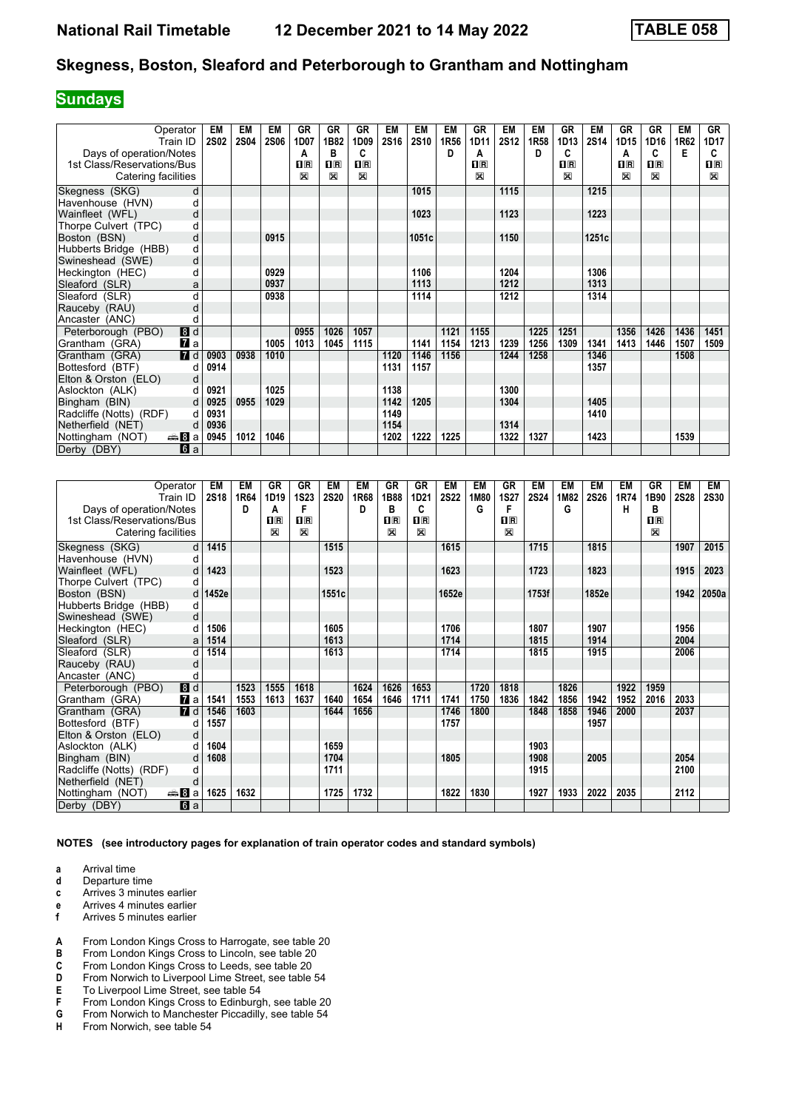## **Sundays**

| Operator                            | EM          | EM          | EM          | <b>GR</b>               | <b>GR</b>               | <b>GR</b>   | EM          | <b>EM</b> | <b>EM</b> | GR             | EM          | <b>EM</b> | GR             | <b>EM</b>   | <b>GR</b>               | <b>GR</b>               | <b>EM</b> | GR           |
|-------------------------------------|-------------|-------------|-------------|-------------------------|-------------------------|-------------|-------------|-----------|-----------|----------------|-------------|-----------|----------------|-------------|-------------------------|-------------------------|-----------|--------------|
| Train ID                            | <b>2S02</b> | <b>2S04</b> | <b>2S06</b> | 1D07                    | 1B82                    | 1D09        | <b>2S16</b> | 2S10      | 1R56      | 1D11           | <b>2S12</b> | 1R58      | 1D13           | <b>2S14</b> | 1D15                    | 1D16                    | 1R62      | 1D17         |
| Days of operation/Notes             |             |             |             | Α                       | в                       | C           |             |           | D         | A              |             | D         | C              |             | А                       | C                       | Е         | C            |
| 1st Class/Reservations/Bus          |             |             |             | $\overline{\mathbf{H}}$ | $\overline{\mathbf{B}}$ | $n_{\rm R}$ |             |           |           | $\mathbf{H}$ R |             |           | $\mathbf{I}$ R |             | $\overline{\mathbf{H}}$ | $\overline{\mathbf{R}}$ |           | $\mathbf{H}$ |
| Catering facilities                 |             |             |             | $\mathbb{X}$            | $\mathbb{R}$            | X           |             |           |           | X              |             |           | $\boxtimes$    |             | ⊠                       | X                       |           | $\boxtimes$  |
| Skegness (SKG)<br>d                 |             |             |             |                         |                         |             |             | 1015      |           |                | 1115        |           |                | 1215        |                         |                         |           |              |
| Havenhouse (HVN)<br>d               |             |             |             |                         |                         |             |             |           |           |                |             |           |                |             |                         |                         |           |              |
| Wainfleet (WFL)<br>d                |             |             |             |                         |                         |             |             | 1023      |           |                | 1123        |           |                | 1223        |                         |                         |           |              |
| Thorpe Culvert (TPC)<br>d           |             |             |             |                         |                         |             |             |           |           |                |             |           |                |             |                         |                         |           |              |
| Boston (BSN)<br>d                   |             |             | 0915        |                         |                         |             |             | 1051c     |           |                | 1150        |           |                | 1251c       |                         |                         |           |              |
| Hubberts Bridge (HBB)<br>d          |             |             |             |                         |                         |             |             |           |           |                |             |           |                |             |                         |                         |           |              |
| Swineshead (SWE)<br>d               |             |             |             |                         |                         |             |             |           |           |                |             |           |                |             |                         |                         |           |              |
| Heckington (HEC)<br>d               |             |             | 0929        |                         |                         |             |             | 1106      |           |                | 1204        |           |                | 1306        |                         |                         |           |              |
| Sleaford (SLR)<br>a                 |             |             | 0937        |                         |                         |             |             | 1113      |           |                | 1212        |           |                | 1313        |                         |                         |           |              |
| Sleaford (SLR)<br>d                 |             |             | 0938        |                         |                         |             |             | 1114      |           |                | 1212        |           |                | 1314        |                         |                         |           |              |
| Rauceby (RAU)<br>d                  |             |             |             |                         |                         |             |             |           |           |                |             |           |                |             |                         |                         |           |              |
| Ancaster (ANC)<br>d                 |             |             |             |                         |                         |             |             |           |           |                |             |           |                |             |                         |                         |           |              |
| Peterborough (PBO)<br>8d            |             |             |             | 0955                    | 1026                    | 1057        |             |           | 1121      | 1155           |             | 1225      | 1251           |             | 1356                    | 1426                    | 1436      | 1451         |
| $\mathbf{z}$ a<br>Grantham (GRA)    |             |             | 1005        | 1013                    | 1045                    | 1115        |             | 1141      | 1154      | 1213           | 1239        | 1256      | 1309           | 1341        | 1413                    | 1446                    | 1507      | 1509         |
| $\blacksquare$<br>Grantham (GRA)    | 0903        | 0938        | 1010        |                         |                         |             | 1120        | 1146      | 1156      |                | 1244        | 1258      |                | 1346        |                         |                         | 1508      |              |
| Bottesford (BTF)<br>d               | 0914        |             |             |                         |                         |             | 1131        | 1157      |           |                |             |           |                | 1357        |                         |                         |           |              |
| d<br>Elton & Orston (ELO)           |             |             |             |                         |                         |             |             |           |           |                |             |           |                |             |                         |                         |           |              |
| Aslockton (ALK)<br>d                | 0921        |             | 1025        |                         |                         |             | 1138        |           |           |                | 1300        |           |                |             |                         |                         |           |              |
| d<br>Bingham (BIN)                  | 0925        | 0955        | 1029        |                         |                         |             | 1142        | 1205      |           |                | 1304        |           |                | 1405        |                         |                         |           |              |
| Radcliffe (Notts) (RDF)<br>d        | 0931        |             |             |                         |                         |             | 1149        |           |           |                |             |           |                | 1410        |                         |                         |           |              |
| Netherfield (NET)<br>d              | 0936        |             |             |                         |                         |             | 1154        |           |           |                | 1314        |           |                |             |                         |                         |           |              |
| <del>⊯</del> ⊟а<br>Nottingham (NOT) | 0945        | 1012        | 1046        |                         |                         |             | 1202        | 1222      | 1225      |                | 1322        | 1327      |                | 1423        |                         |                         | 1539      |              |
| <b>6</b> a<br>Derby (DBY)           |             |             |             |                         |                         |             |             |           |           |                |             |           |                |             |                         |                         |           |              |

| Operator                         | EM          | EM   | GR                                              | GR             | EM          | EM   | <b>GR</b>   | GR                                              | EM          | EM   | <b>GR</b>                 | EM          | EM   | EM          | EM   | GR          | EM          | EM          |
|----------------------------------|-------------|------|-------------------------------------------------|----------------|-------------|------|-------------|-------------------------------------------------|-------------|------|---------------------------|-------------|------|-------------|------|-------------|-------------|-------------|
| Train ID                         | <b>2S18</b> | 1R64 | 1D19                                            | <b>1S23</b>    | <b>2S20</b> | 1R68 | 1B88        | 1D21                                            | <b>2S22</b> | 1M80 | 1S27                      | <b>2S24</b> | 1M82 | <b>2S26</b> | 1R74 | 1B90        | <b>2S28</b> | <b>2S30</b> |
| Days of operation/Notes          |             | D    | Α                                               | F              |             | D    | в           | C                                               |             | G    | F                         |             | G    |             | н    | в           |             |             |
| 1st Class/Reservations/Bus       |             |      | $\overline{\mathbf{H}}$ $\overline{\mathbf{R}}$ | $\mathbf{I}$ R |             |      | $n_{\rm R}$ | $\overline{\mathbf{H}}$ $\overline{\mathbf{R}}$ |             |      | $\overline{\mathbf{H}}$ R |             |      |             |      | $n_{\rm R}$ |             |             |
| Catering facilities              |             |      | 図                                               | $\boxtimes$    |             |      | X           | X                                               |             |      | X                         |             |      |             |      | X           |             |             |
| Skegness (SKG)                   | 1415<br>d   |      |                                                 |                | 1515        |      |             |                                                 | 1615        |      |                           | 1715        |      | 1815        |      |             | 1907        | 2015        |
| Havenhouse (HVN)                 | d           |      |                                                 |                |             |      |             |                                                 |             |      |                           |             |      |             |      |             |             |             |
| Wainfleet (WFL)                  | 1423<br>d   |      |                                                 |                | 1523        |      |             |                                                 | 1623        |      |                           | 1723        |      | 1823        |      |             | 1915        | 2023        |
| Thorpe Culvert (TPC)             | d           |      |                                                 |                |             |      |             |                                                 |             |      |                           |             |      |             |      |             |             |             |
| Boston (BSN)                     | 1452e<br>d  |      |                                                 |                | 1551c       |      |             |                                                 | 1652e       |      |                           | 1753f       |      | 1852e       |      |             | 1942        | 2050a       |
| Hubberts Bridge (HBB)            | d           |      |                                                 |                |             |      |             |                                                 |             |      |                           |             |      |             |      |             |             |             |
| Swineshead (SWE)                 | d           |      |                                                 |                |             |      |             |                                                 |             |      |                           |             |      |             |      |             |             |             |
| Heckington (HEC)                 | 1506<br>d   |      |                                                 |                | 1605        |      |             |                                                 | 1706        |      |                           | 1807        |      | 1907        |      |             | 1956        |             |
| Sleaford (SLR)                   | 1514<br>a   |      |                                                 |                | 1613        |      |             |                                                 | 1714        |      |                           | 1815        |      | 1914        |      |             | 2004        |             |
| Sleaford (SLR)                   | 1514<br>d   |      |                                                 |                | 1613        |      |             |                                                 | 1714        |      |                           | 1815        |      | 1915        |      |             | 2006        |             |
| Rauceby (RAU)                    | d           |      |                                                 |                |             |      |             |                                                 |             |      |                           |             |      |             |      |             |             |             |
| Ancaster (ANC)                   | d           |      |                                                 |                |             |      |             |                                                 |             |      |                           |             |      |             |      |             |             |             |
| 8d<br>Peterborough (PBO)         |             | 1523 | 1555                                            | 1618           |             | 1624 | 1626        | 1653                                            |             | 1720 | 1818                      |             | 1826 |             | 1922 | 1959        |             |             |
| Grantham (GRA)<br>$\mathbf{z}$ a | 1541        | 1553 | 1613                                            | 1637           | 1640        | 1654 | 1646        | 1711                                            | 1741        | 1750 | 1836                      | 1842        | 1856 | 1942        | 1952 | 2016        | 2033        |             |
| $\blacksquare$<br>Grantham (GRA) | 1546        | 1603 |                                                 |                | 1644        | 1656 |             |                                                 | 1746        | 1800 |                           | 1848        | 1858 | 1946        | 2000 |             | 2037        |             |
| Bottesford (BTF)                 | 1557<br>d   |      |                                                 |                |             |      |             |                                                 | 1757        |      |                           |             |      | 1957        |      |             |             |             |
| Elton & Orston (ELO)             | d           |      |                                                 |                |             |      |             |                                                 |             |      |                           |             |      |             |      |             |             |             |
| Aslockton (ALK)                  | 1604<br>d   |      |                                                 |                | 1659        |      |             |                                                 |             |      |                           | 1903        |      |             |      |             |             |             |
| Bingham (BIN)                    | 1608<br>d   |      |                                                 |                | 1704        |      |             |                                                 | 1805        |      |                           | 1908        |      | 2005        |      |             | 2054        |             |
| Radcliffe (Notts) (RDF)          | d           |      |                                                 |                | 1711        |      |             |                                                 |             |      |                           | 1915        |      |             |      |             | 2100        |             |
| Netherfield (NET)                | d           |      |                                                 |                |             |      |             |                                                 |             |      |                           |             |      |             |      |             |             |             |
| Nottingham (NOT)<br>anna 8∎a     | 1625        | 1632 |                                                 |                | 1725        | 1732 |             |                                                 | 1822        | 1830 |                           | 1927        | 1933 | 2022        | 2035 |             | 2112        |             |
| Derby (DBY)<br>6a                |             |      |                                                 |                |             |      |             |                                                 |             |      |                           |             |      |             |      |             |             |             |

**NOTES (see introductory pages for explanation of train operator codes and standard symbols)**

**a** Arrival time<br>**d** Departure t

**d** Departure time

**c** Arrives 3 minutes earlier

**e** Arrives 4 minutes earlier<br>**f** Arrives 5 minutes earlier

- **f** Arrives 5 minutes earlier
- A From London Kings Cross to Harrogate, see table 20

**B** From London Kings Cross to Lincoln, see table 20<br> **C** From London Kings Cross to Leeds, see table 20<br> **D** From Norwich to Liverpool Lime Street, see table 5 From London Kings Cross to Leeds, see table 20

**D** From Norwich to Liverpool Lime Street, see table 54<br>**E** To Liverpool Lime Street, see table 54

- **E** To Liverpool Lime Street, see table 54<br>**F** From London Kings Cross to Edinburg
- **F** From London Kings Cross to Edinburgh, see table 20<br>**G** From Norwich to Manchester Piccadilly, see table 54
- **6** From Norwich to Manchester Piccadilly, see table 54<br>**H** From Norwich, see table 54
- From Norwich, see table 54